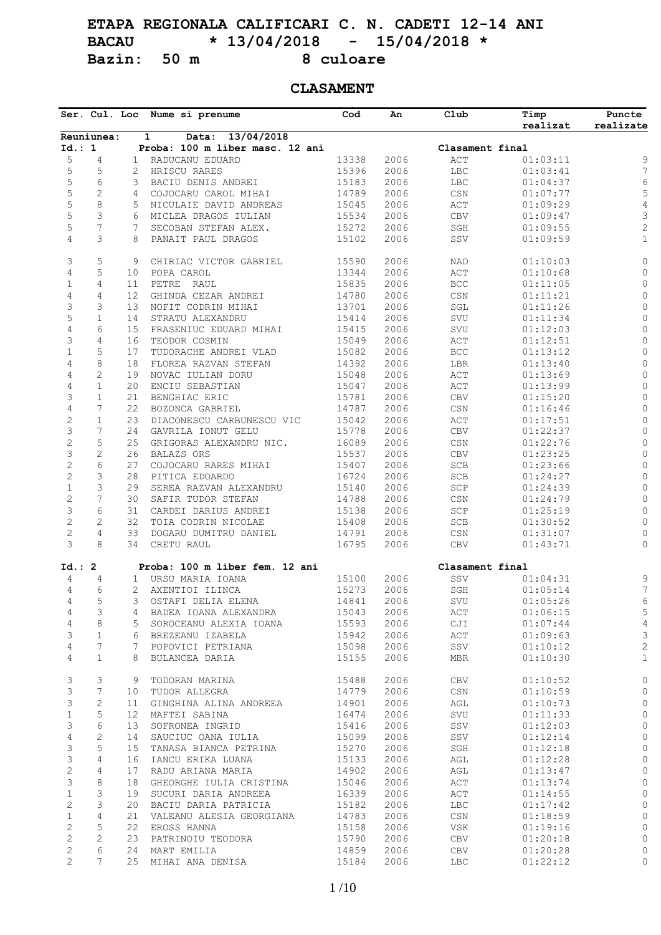# **ETAPA REGIONALA CALIFICARI C. N. CADETI 12-14 ANI BACAU \* 13/04/2018 - 15/04/2018 \*** Bazin: 50 m 8 culoare

## **CLASAMENT**

|                              |                     |                   | Ser. Cul. Loc Nume si prenume       | Cod            | An           | Club                             | Timp<br>realizat     | Puncte<br>realizate          |
|------------------------------|---------------------|-------------------|-------------------------------------|----------------|--------------|----------------------------------|----------------------|------------------------------|
|                              | Reuniunea:          |                   | 13/04/2018<br>$\mathbf{1}$<br>Data: |                |              |                                  |                      |                              |
| Id.: 1                       |                     |                   | Proba: 100 m liber masc. 12 ani     |                |              | Clasament final                  |                      |                              |
| 5                            | 4                   | $\mathbf{1}$      | RADUCANU EDUARD                     | 13338          | 2006         | ACT                              | 01:03:11             | 9                            |
| 5                            | 5                   | 2                 | HRISCU RARES                        | 15396          | 2006         | $_{\rm LBC}$                     | 01:03:41             | $\boldsymbol{7}$             |
| 5                            | 6                   | 3                 | BACIU DENIS ANDREI                  | 15183          | 2006         | $_{\rm LBC}$                     | 01:04:37             | 6                            |
| $\mathsf S$                  | $\overline{c}$      | 4                 | COJOCARU CAROL MIHAI                | 14789          | 2006         | $\mathbb{C}\mathbb{S}\mathbb{N}$ | 01:07:77             | 5                            |
| $\mathsf S$                  | 8                   | 5                 | NICULAIE DAVID ANDREAS              | 15045          | 2006         | ACT                              | 01:09:29             | $\sqrt{4}$                   |
| 5                            | 3                   | 6                 | MICLEA DRAGOS IULIAN                | 15534          | 2006         | CBV                              | 01:09:47             | $\mathsf 3$                  |
| 5                            | $\overline{7}$      | 7                 | SECOBAN STEFAN ALEX.                | 15272          | 2006         | $\operatorname{\mathsf{SGH}}$    | 01:09:55             | $\mathbf{2}$                 |
| $\overline{4}$               | 3                   | 8                 | PANAIT PAUL DRAGOS                  | 15102          | 2006         | SSV                              | 01:09:59             | $\,1\,$                      |
| 3                            | 5                   | 9                 | CHIRIAC VICTOR GABRIEL              | 15590          | 2006         | NAD                              | 01:10:03             | 0                            |
| $\sqrt{4}$                   | 5                   | 10                | POPA CAROL                          | 13344          | 2006         | ACT                              | 01:10:68             | 0                            |
| $\mathbf 1$                  | 4                   | 11                | PETRE RAUL                          | 15835          | 2006         | $_{\rm BCC}$                     | 01:11:05             | 0                            |
| 4                            | $\overline{4}$      | 12                | GHINDA CEZAR ANDREI                 | 14780          | 2006         | $_{\mbox{\tiny{CSN}}}$           | 01:11:21             | $\mathsf{O}\xspace$          |
| 3                            | 3                   | 13                | NOFIT CODRIN MIHAI                  | 13701          | 2006         | $\operatorname{\mathsf{SGL}}$    | 01:11:26             | $\mathsf{O}\xspace$          |
| 5                            | $\mathbf{1}$        | 14                | STRATU ALEXANDRU                    | 15414          | 2006         | SVU                              | 01:11:34             | $\mathbb O$                  |
| 4                            | 6                   | 15                | FRASENIUC EDUARD MIHAI              | 15415          | 2006         | SVU                              | 01:12:03             | $\mathsf{O}\xspace$          |
| 3                            | 4                   | 16                | TEODOR COSMIN                       | 15049          | 2006         | $\mathop{\mathrm{ACT}}\nolimits$ | 01:12:51             | $\circledcirc$               |
| $\mathbf{1}$                 | 5                   | 17                | TUDORACHE ANDREI VLAD               | 15082          | 2006         | $_{\rm BCC}$                     | 01:13:12             | $\mathsf{O}$                 |
| $\overline{4}$               | 8                   | 18                | FLOREA RAZVAN STEFAN                | 14392          | 2006         | LBR                              | 01:13:40             | $\mathsf{O}\xspace$          |
| $\overline{4}$               | $\overline{2}$      | 19                | NOVAC IULIAN DORU                   | 15048          | 2006         | ACT                              | 01:13:69             | $\mathsf{O}\xspace$          |
| $\sqrt{4}$                   | $\mathbf{1}$        | 20                | ENCIU SEBASTIAN                     | 15047          | 2006         | ACT                              | 01:13:99             | 0                            |
| 3                            | $\mathbf{1}$        | 21                | BENGHIAC ERIC                       | 15781          | 2006         | ${\tt CBV}$                      | 01:15:20             | $\circ$                      |
| 4                            | 7                   | 22                |                                     | 14787          | 2006         |                                  |                      |                              |
|                              |                     |                   | BOZONCA GABRIEL                     |                |              | $\mathbb{C}\mathbb{S}\mathbb{N}$ | 01:16:46             | $\mathsf{O}\xspace$          |
| $\sqrt{2}$                   | $\mathbf{1}$        | 23                | DIACONESCU CARBUNESCU VIC           | 15042          | 2006         | $\mathop{\mathrm{ACT}}\nolimits$ | 01:17:51             | $\mathsf{O}\xspace$          |
| 3                            | 7                   | 24                | GAVRILA IONUT GELU                  | 15778          | 2006         | ${\rm CBV}$                      | 01:22:37             | $\mathsf{O}$                 |
| $\sqrt{2}$                   | 5                   | 25                | GRIGORAS ALEXANDRU NIC.             | 16089          | 2006         | $\mathbb{C}\mathbb{S}\mathbb{N}$ | 01:22:76             | $\mathsf{O}\xspace$          |
| 3                            | $\overline{2}$      | 26                | BALAZS ORS                          | 15537          | 2006         | ${\rm CBV}$                      | 01:23:25             | 0                            |
| $\sqrt{2}$                   | 6                   | 27                | COJOCARU RARES MIHAI                | 15407          | 2006         | $_{\rm SCB}$                     | 01:23:66             | $\mathsf{O}$                 |
| $\overline{c}$               | 3                   | 28                | PITICA EDOARDO                      | 16724          | 2006         | $_{\rm SCB}$                     | 01:24:27             | $\circ$                      |
| $\mathbf{1}$                 | 3                   | 29                | SEREA RAZVAN ALEXANDRU              | 15140          | 2006         | SCP                              | 01:24:39             | $\mathsf{O}\xspace$          |
| $\mathbf{2}$                 | 7                   | 30                | SAFIR TUDOR STEFAN                  | 14788          | 2006         | $\mathbb{C}\mathbb{S}\mathbb{N}$ | 01:24:79             | $\mathsf{O}\xspace$          |
| 3                            | 6                   | 31                | CARDEI DARIUS ANDREI                | 15138          | 2006         | $\ensuremath{\mathsf{SCP}}$      | 01:25:19             | 0                            |
| $\mathbf{2}$                 | 2                   | 32                | TOIA CODRIN NICOLAE                 | 15408          | 2006         | $_{\rm SCB}$                     | 01:30:52             | $\mathsf{O}\xspace$          |
| $\sqrt{2}$                   | $\overline{4}$      | 33                | DOGARU DUMITRU DANIEL               | 14791          | 2006         | $_{\mbox{\tiny{CSN}}}$           | 01:31:07             | 0                            |
| 3                            | 8                   | 34                | CRETU RAUL                          | 16795          | 2006         | CBV                              | 01:43:71             | 0                            |
| Id.: 2                       |                     |                   | Proba: 100 m liber fem. 12 ani      |                |              | Clasament final                  |                      |                              |
| 4                            | 4                   | $\mathbf{1}$      | URSU MARIA IOANA                    | 15100          | 2006         | SSV                              | 01:04:31             | 9                            |
| $\overline{4}$               | 6                   | 2                 | AXENTIOI ILINCA                     | 15273          | 2006         | SGH                              | 01:05:14             | 7                            |
| 4                            | 5                   | 3                 | OSTAFI DELIA ELENA                  | 14841          | 2006         | SVU                              | 01:05:26             | 6                            |
| 4                            | 3                   | 4                 | BADEA IOANA ALEXANDRA               | 15043          | 2006         | ACT                              | 01:06:15             | 5                            |
| $\overline{4}$               | 8                   | 5                 | SOROCEANU ALEXIA IOANA              | 15593          | 2006         | CJI                              | 01:07:44             | 4                            |
| 3                            | $\mathbf 1$         | 6                 | BREZEANU IZABELA                    | 15942          | 2006         | ACT                              | 01:09:63             | 3                            |
| $\overline{4}$               | 7                   | 7                 | POPOVICI PETRIANA                   | 15098          | 2006         | SSV                              | 01:10:12             | $\sqrt{2}$                   |
| $\overline{4}$               | $\mathbf{1}$        | 8                 | BULANCEA DARIA                      | 15155          | 2006         | MBR                              | 01:10:30             | $\mathbf{1}$                 |
| 3                            | 3                   | 9                 | TODORAN MARINA                      | 15488          | 2006         | CBV                              | 01:10:52             | 0                            |
| 3                            | 7                   | 10                | TUDOR ALLEGRA                       | 14779          | 2006         | $\mathbb{CSN}$                   | 01:10:59             | $\circ$                      |
| 3                            | $\overline{c}$      | 11                | GINGHINA ALINA ANDREEA              | 14901          | 2006         | AGL                              | 01:10:73             | $\circ$                      |
| $\mathbf{1}$                 | 5                   | $12 \overline{ }$ | MAFTEI SABINA                       | 16474          | 2006         | SVU                              | 01:11:33             | $\circ$                      |
| 3                            | 6                   | 13                | SOFRONEA INGRID                     | 15416          | 2006         | SSV                              | 01:12:03             | $\circ$                      |
| 4                            | $\mathbf{2}$        | 14                | SAUCIUC OANA IULIA                  | 15099          | 2006         | SSV                              | 01:12:14             | $\circledcirc$               |
| 3                            | 5                   | 15                | TANASA BIANCA PETRINA               | 15270          | 2006         | SGH                              | 01:12:18             | 0                            |
| 3                            | $\overline{4}$      | 16                | IANCU ERIKA LUANA                   | 15133          | 2006         | AGL                              | 01:12:28             | 0                            |
| $\mathbf{2}$                 | $\overline{4}$      | 17                | RADU ARIANA MARIA                   | 14902          | 2006         | AGL                              | 01:13:47             | $\circ$                      |
|                              | 8                   | 18                | GHEORGHE IULIA CRISTINA             | 15046          | 2006         | ACT                              | 01:13:74             | 0                            |
|                              | 3                   | 19                | SUCURI DARIA ANDREEA                | 16339          | 2006         | ACT                              | 01:14:55             | 0                            |
| 3                            |                     |                   | BACIU DARIA PATRICIA                | 15182          | 2006         | LBC                              | 01:17:42             | $\circ$                      |
| $\mathbf{1}$                 |                     |                   |                                     |                |              |                                  |                      |                              |
| $\mathbf{2}$                 | 3                   | 20                |                                     |                |              |                                  |                      |                              |
| $\mathbf{1}$                 | $\overline{4}$      | 21                | VALEANU ALESIA GEORGIANA            | 14783          | 2006         | $_{\mbox{\tiny{CSN}}}$           | 01:18:59             |                              |
| $\mathbf{2}$                 | 5                   | 22                | EROSS HANNA                         | 15158          | 2006         | VSK                              | 01:19:16             |                              |
| $\mathbf{2}$<br>$\mathbf{2}$ | $\overline{c}$<br>6 | 23<br>24          | PATRINOIU TEODORA<br>MART EMILIA    | 15790<br>14859 | 2006<br>2006 | CBV<br>CBV                       | 01:20:18<br>01:20:28 | $\circ$<br>$\circ$<br>0<br>0 |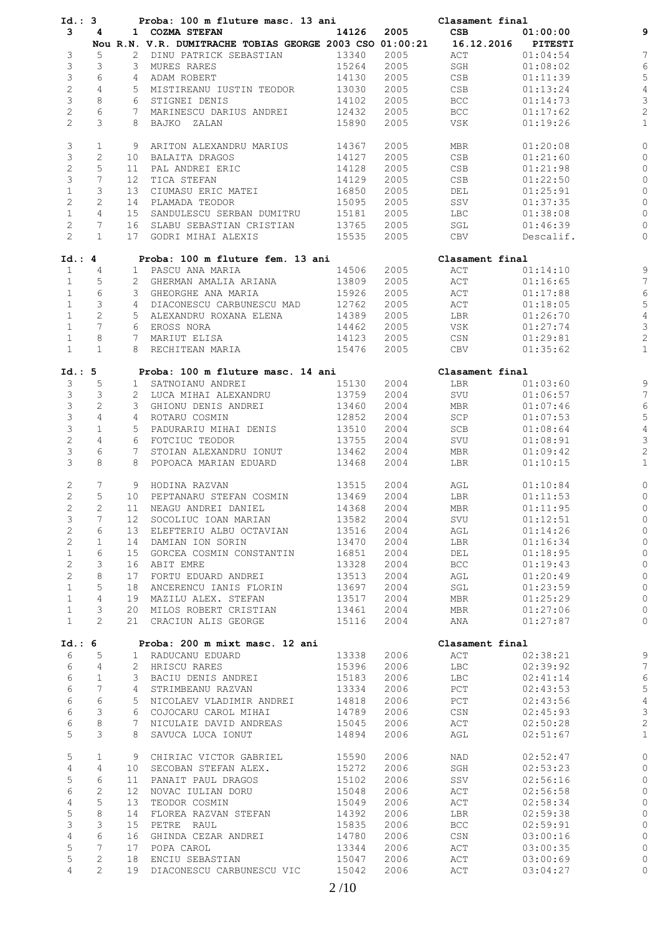| Id.: 3         |                 |                 | Proba: 100 m fluture masc. 13 ani                        |       |      | Clasament final    |           |                |
|----------------|-----------------|-----------------|----------------------------------------------------------|-------|------|--------------------|-----------|----------------|
| 3              | 4               |                 | 1 COZMA STEFAN                                           | 14126 | 2005 | CSB                | 01:00:00  |                |
|                |                 |                 | Nou R.N. V.R. DUMITRACHE TOBIAS GEORGE 2003 CSO 01:00:21 |       |      | 16.12.2016 PITESTI |           |                |
| 3              | 5               |                 | 2 DINU PATRICK SEBASTIAN                                 | 13340 | 2005 | ACT                | 01:04:54  | 7              |
| 3              | 3               |                 | 3 MURES RARES                                            | 15264 | 2005 | SGH                | 01:08:02  | $\epsilon$     |
| 3              | 6               |                 | 4 ADAM ROBERT                                            | 14130 | 2005 | CSB                | 01:11:39  | 5              |
| $\overline{c}$ | $\overline{4}$  |                 |                                                          |       |      |                    |           |                |
|                |                 |                 | 5 MISTIREANU IUSTIN TEODOR                               | 13030 | 2005 | CSB                | 01:13:24  | $\overline{4}$ |
| $\mathsf S$    | 8               |                 | 6 STIGNEI DENIS                                          | 14102 | 2005 | <b>BCC</b>         | 01:14:73  | 3              |
| $\mathbf{2}$   | 6               |                 | 7 MARINESCU DARIUS ANDREI                                | 12432 | 2005 | BCC                | 01:17:62  | $\overline{c}$ |
| $\overline{2}$ | 3               |                 | 8 BAJKO ZALAN                                            | 15890 | 2005 | VSK                | 01:19:26  | $\mathbf{1}$   |
| 3              | $\mathbf 1$     |                 | 9 ARITON ALEXANDRU MARIUS                                | 14367 | 2005 | MBR                | 01:20:08  | $\circ$        |
| 3              | 2               |                 | 10 BALAITA DRAGOS                                        | 14127 | 2005 | CSB                | 01:21:60  | O              |
| $\overline{c}$ | 5               | 11              | PAL ANDREI ERIC                                          | 14128 | 2005 | CSB                | 01:21:98  | 0              |
| $\mathfrak{Z}$ | 7               | 12 <sup>7</sup> | TICA STEFAN                                              | 14129 | 2005 | CSB                | 01:22:50  | $\circ$        |
| $\mathbf{1}$   | 3               |                 |                                                          |       |      |                    |           |                |
|                |                 | 13              | CIUMASU ERIC MATEI                                       | 16850 | 2005 | DEL                | 01:25:91  | 0              |
| $\overline{c}$ | $\mathbf{2}$    |                 | 14 PLAMADA TEODOR                                        | 15095 | 2005 | SSV                | 01:37:35  | $\circ$        |
| $\mathbf{1}$   | $\overline{4}$  | 15              | SANDULESCU SERBAN DUMITRU                                | 15181 | 2005 | LBC                | 01:38:08  | 0              |
| $\overline{c}$ | 7               |                 | 16 SLABU SEBASTIAN CRISTIAN                              | 13765 | 2005 | SGL                | 01:46:39  | 0              |
| $\overline{2}$ | $\mathbf{1}$    |                 | 17 GODRI MIHAI ALEXIS                                    | 15535 | 2005 | CBV                | Descalif. | $\circ$        |
| Id.: 4         |                 |                 | Proba: 100 m fluture fem. 13 ani                         |       |      | Clasament final    |           |                |
| $\mathbf{1}$   | 4               |                 | 1 PASCU ANA MARIA                                        | 14506 | 2005 | ACT                | 01:14:10  | 9              |
| $\mathbf{1}$   | 5               |                 | 2 GHERMAN AMALIA ARIANA                                  | 13809 | 2005 | ACT                | 01:16:65  | $\overline{7}$ |
| $\mathbf{1}$   | $\sqrt{6}$      |                 | 3 GHEORGHE ANA MARIA                                     | 15926 | 2005 | ACT                | 01:17:88  | $\epsilon$     |
|                |                 |                 |                                                          |       |      |                    |           |                |
| $\mathbf{1}$   | 3               |                 | 4 DIACONESCU CARBUNESCU MAD                              | 12762 | 2005 | ACT                | 01:18:05  | 5              |
| $\mathbf{1}$   | $\sqrt{2}$      |                 | 5 ALEXANDRU ROXANA ELENA                                 | 14389 | 2005 | LBR                | 01:26:70  | $\overline{4}$ |
| $\mathbf{1}$   | $7\overline{ }$ |                 | 6 EROSS NORA                                             | 14462 | 2005 | VSK                | 01:27:74  | 3              |
| $\mathbf{1}$   | 8               |                 | 7 MARIUT ELISA                                           | 14123 | 2005 | CSN                | 01:29:81  | $\overline{c}$ |
| $\mathbf{1}$   | $\mathbf{1}$    |                 | 8 RECHITEAN MARIA                                        | 15476 | 2005 | CBV                | 01:35:62  | $\mathbf{1}$   |
| Id.: 5         |                 |                 | Proba: 100 m fluture masc. 14 ani                        |       |      | Clasament final    |           |                |
| 3              | 5               |                 | 1 SATNOIANU ANDREI                                       | 15130 | 2004 | LBR                | 01:03:60  | 9              |
| 3              | 3               |                 | 2 LUCA MIHAI ALEXANDRU                                   | 13759 | 2004 | SVU                | 01:06:57  | 7              |
| 3              | 2               |                 | 3 GHIONU DENIS ANDREI                                    | 13460 | 2004 | MBR                | 01:07:46  | $\epsilon$     |
|                |                 |                 |                                                          |       |      |                    |           |                |
| 3              | 4               |                 | 4 ROTARU COSMIN                                          | 12852 | 2004 | SCP                | 01:07:53  | 5              |
| 3              | $\mathbf{1}$    |                 | 5 PADURARIU MIHAI DENIS                                  | 13510 | 2004 | SCB                | 01:08:64  | $\overline{4}$ |
| $\mathbf{2}$   | $\overline{4}$  |                 | 6 FOTCIUC TEODOR                                         | 13755 | 2004 | SVU                | 01:08:91  | 3              |
| 3              | 6               |                 | 7 STOIAN ALEXANDRU IONUT                                 | 13462 | 2004 | MBR                | 01:09:42  | $\overline{c}$ |
| 3              | 8               |                 | 8 POPOACA MARIAN EDUARD                                  | 13468 | 2004 | LBR                | 01:10:15  | $\mathbf{1}$   |
| 2              | 7               |                 | 9 HODINA RAZVAN                                          | 13515 | 2004 | AGL                | 01:10:84  | $\circ$        |
| $\overline{c}$ | 5               |                 | 10 PEPTANARU STEFAN COSMIN                               | 13469 | 2004 | LBR                | 01:11:53  | $\circ$        |
| $\overline{2}$ | 2               |                 | 11 NEAGU ANDREI DANIEL                                   | 14368 | 2004 | MBR                | 01:11:95  | $\circ$        |
| 3              | 7               |                 | 12 SOCOLIUC IOAN MARIAN                                  | 13582 | 2004 | SVU                | 01:12:51  |                |
| $\overline{c}$ | 6               | 13              | ELEFTERIU ALBU OCTAVIAN                                  | 13516 | 2004 | AGL                | 01:14:26  | 0              |
| 2              | $\mathbf 1$     | 14              | DAMIAN ION SORIN                                         | 13470 | 2004 | LBR                | 01:16:34  | O              |
|                | 6               |                 |                                                          |       |      |                    |           |                |
| $\mathbf{1}$   |                 | 15              | GORCEA COSMIN CONSTANTIN                                 | 16851 | 2004 | DEL                | 01:18:95  | $\circ$        |
| $\mathbf{2}$   | 3               | 16              | ABIT EMRE                                                | 13328 | 2004 | <b>BCC</b>         | 01:19:43  | $\circ$        |
| $\mathbf{2}$   | 8               | 17              | FORTU EDUARD ANDREI                                      | 13513 | 2004 | AGL                | 01:20:49  | 0              |
| $\mathbf{1}$   | 5               | 18              | ANCERENCU IANIS FLORIN                                   | 13697 | 2004 | SGL                | 01:23:59  | 0              |
| $\mathbf{1}$   | $\overline{4}$  |                 | 19 MAZILU ALEX. STEFAN                                   | 13517 | 2004 | MBR                | 01:25:29  | $\circ$        |
| $\mathbf{1}$   | 3               | 20              | MILOS ROBERT CRISTIAN                                    | 13461 | 2004 | MBR                | 01:27:06  | 0              |
| $\mathbf{1}$   | $\overline{2}$  |                 | 21 CRACIUN ALIS GEORGE                                   | 15116 | 2004 | ANA                | 01:27:87  | $\circ$        |
| Id.: 6         |                 |                 | Proba: 200 m mixt masc. 12 ani                           |       |      | Clasament final    |           |                |
| 6              | 5               |                 | 1 RADUCANU EDUARD                                        | 13338 | 2006 | ACT                | 02:38:21  | 9              |
| 6              | 4               |                 | 2 HRISCU RARES                                           | 15396 | 2006 | <b>LBC</b>         | 02:39:92  | $\overline{7}$ |
| 6              | $\mathbf 1$     |                 | 3 BACIU DENIS ANDREI                                     | 15183 | 2006 | LBC                | 02:41:14  | $\epsilon$     |
|                |                 |                 |                                                          |       |      |                    |           |                |
| 6              | 7               | 4               | STRIMBEANU RAZVAN                                        | 13334 | 2006 | PCT                | 02:43:53  | 5              |
| 6              | 6               | 5               | NICOLAEV VLADIMIR ANDREI                                 | 14818 | 2006 | PCT                | 02:43:56  | $\overline{4}$ |
| 6              | 3               |                 | 6 COJOCARU CAROL MIHAI                                   | 14789 | 2006 | CSN                | 02:45:93  | 3              |
| 6              | 8               | 7               | NICULAIE DAVID ANDREAS                                   | 15045 | 2006 | ACT                | 02:50:28  | $\overline{c}$ |
| 5              | 3               | 8               | SAVUCA LUCA IONUT                                        | 14894 | 2006 | AGL                | 02:51:67  | $\mathbf{1}$   |
| 5              | 1               |                 | 9 CHIRIAC VICTOR GABRIEL                                 | 15590 | 2006 | NAD                | 02:52:47  | $\circ$        |
| 4              | 4               | 10              | SECOBAN STEFAN ALEX.                                     | 15272 | 2006 | SGH                | 02:53:23  | $\circ$        |
| 5              | 6               | 11              | PANAIT PAUL DRAGOS                                       | 15102 | 2006 | SSV                | 02:56:16  | $\circ$        |
|                |                 |                 |                                                          |       |      |                    |           |                |
| 6              | $\mathbf{2}$    | 12              | NOVAC IULIAN DORU                                        | 15048 | 2006 | ACT                | 02:56:58  | $\circ$        |
| 4              | 5               | 13              | TEODOR COSMIN                                            | 15049 | 2006 | ACT                | 02:58:34  | $\circ$        |
| 5              | 8               | 14              | FLOREA RAZVAN STEFAN                                     | 14392 | 2006 | LBR                | 02:59:38  | $\circ$        |
| 3              | 3               | 15              | PETRE RAUL                                               | 15835 | 2006 | <b>BCC</b>         | 02:59:91  | $\circ$        |
| $\overline{4}$ | 6               | 16              | GHINDA CEZAR ANDREI                                      | 14780 | 2006 | CSN                | 03:00:16  | $\circ$        |
| 5              | 7               | 17              | POPA CAROL                                               | 13344 | 2006 | ACT                | 03:00:35  | $\circ$        |
| 5              | $\mathbf{2}$    | 18              | ENCIU SEBASTIAN                                          | 15047 | 2006 | ACT                | 03:00:69  | $\circ$        |
| 4              | $\overline{2}$  |                 | 19 DIACONESCU CARBUNESCU VIC                             | 15042 | 2006 | ACT                | 03:04:27  | 0              |
|                |                 |                 |                                                          |       |      |                    |           |                |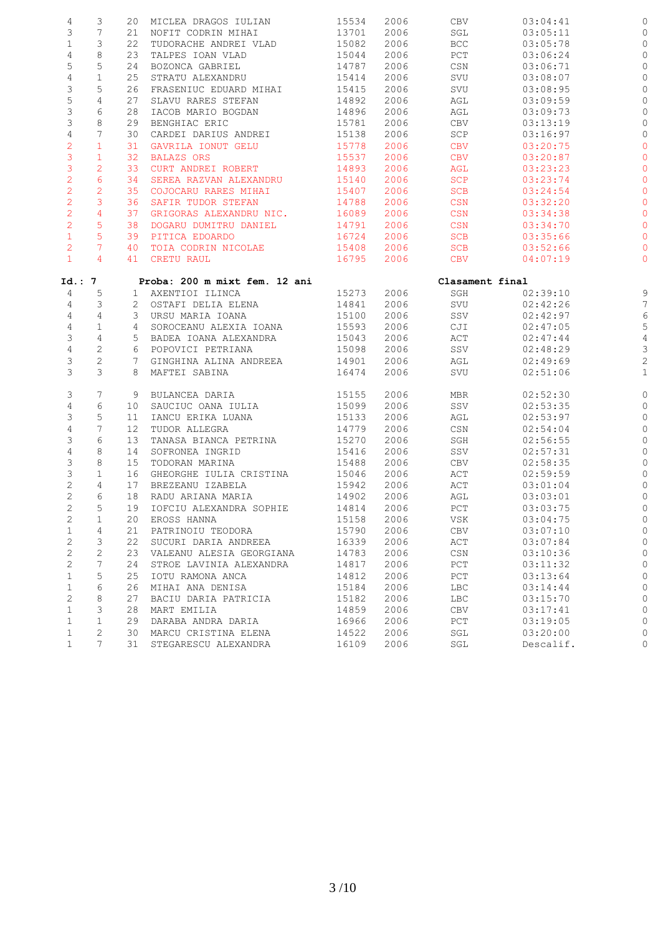| 4              | 3               |                | 20 MICLEA DRAGOS IULIAN                                               | 15534 | 2006 | CBV             | 03:04:41  | 0              |
|----------------|-----------------|----------------|-----------------------------------------------------------------------|-------|------|-----------------|-----------|----------------|
| 3              | $7\phantom{.0}$ | 21             | NOFIT CODRIN MIHAI                                                    | 13701 | 2006 | SGL             | 03:05:11  | O              |
| $\mathbf{1}$   | 3               | 22             | TUDORACHE ANDREI VLAD                                                 | 15082 | 2006 | <b>BCC</b>      | 03:05:78  | 0              |
| $\sqrt{4}$     | 8               | 23             | TALPES IOAN VLAD                                                      | 15044 | 2006 | PCT             | 03:06:24  | $\circ$        |
| 5              | 5               | 24             | BOZONCA GABRIEL                                                       | 14787 | 2006 | CSN             | 03:06:71  | $\circ$        |
| $\sqrt{4}$     | $\mathbf{1}$    | 25             | STRATU ALEXANDRU                                                      | 15414 | 2006 | SVU             | 03:08:07  | $\circ$        |
| 3              | 5               | 26             | FRASENIUC EDUARD MIHAI                                                | 15415 | 2006 | SVU             | 03:08:95  | O              |
| 5              | 4               | 27             | SLAVU RARES STEFAN                                                    | 14892 | 2006 | AGL             | 03:09:59  | 0              |
| $\mathsf S$    | 6               | 28             | IACOB MARIO BOGDAN                                                    | 14896 | 2006 | AGL             | 03:09:73  | $\circ$        |
| 3              | 8               |                |                                                                       |       |      |                 |           |                |
|                |                 | 29             | BENGHIAC ERIC                                                         | 15781 | 2006 | CBV             | 03:13:19  | $\circ$        |
| $\overline{4}$ | $7\phantom{.0}$ | 30             | CARDEI DARIUS ANDREI                                                  | 15138 | 2006 | SCP             | 03:16:97  | $\circ$        |
| $\overline{c}$ | $\mathbf{1}$    | 31             | GAVRILA IONUT GELU                                                    | 15778 | 2006 | <b>CBV</b>      | 03:20:75  | $\circ$        |
| 3              | $\mathbf{1}$    | 32             | <b>BALAZS ORS</b>                                                     | 15537 | 2006 | <b>CBV</b>      | 03:20:87  | $\circ$        |
| 3              | 2               | 33             | CURT ANDREI ROBERT                                                    | 14893 | 2006 | AGL             | 03:23:23  | O              |
| $\overline{2}$ | $6\phantom{.}6$ | 34             | SEREA RAZVAN ALEXANDRU                                                | 15140 | 2006 | SCP             | 03:23:74  | $\circ$        |
| $\overline{c}$ | $\overline{2}$  | 35             | COJOCARU RARES MIHAI                                                  | 15407 | 2006 | SCB             | 03:24:54  | $\circ$        |
| $\overline{2}$ | $\mathbf{3}$    | 36             | SAFIR TUDOR STEFAN                                                    | 14788 | 2006 | CSN             | 03:32:20  | $\circ$        |
| $\overline{2}$ | $\overline{4}$  | 37             | GRIGORAS ALEXANDRU NIC.                                               | 16089 | 2006 | CSN             | 03:34:38  | $\circ$        |
| $\overline{2}$ | 5               | 38             | DOGARU DUMITRU DANIEL                                                 | 14791 | 2006 | CSN             | 03:34:70  | $\circ$        |
| $\mathbf{1}$   | $5\phantom{.0}$ | 39             | PITICA EDOARDO                                                        | 16724 | 2006 | <b>SCB</b>      | 03:35:66  | 0              |
| $\overline{2}$ | $7\phantom{.0}$ | 40             | TOIA CODRIN NICOLAE                                                   | 15408 | 2006 | SCB             | 03:52:66  | O              |
| $\mathbf{1}$   | $\overline{4}$  |                | 41 CRETU RAUL                                                         | 16795 | 2006 | <b>CBV</b>      | 04:07:19  | $\circ$        |
| Id.: 7         |                 |                | Proba: 200 m mixt fem. 12 ani                                         |       |      | Clasament final |           |                |
| 4              | 5               |                | 1 AXENTIOI ILINCA                                                     | 15273 | 2006 | SGH             | 02:39:10  | $\mathcal{Q}$  |
| $\overline{4}$ | 3               |                | 2 OSTAFI DELIA ELENA                                                  | 14841 | 2006 | SVU             | 02:42:26  | $\overline{7}$ |
| $\overline{4}$ | 4               |                | 3 URSU MARIA IOANA                                                    | 15100 | 2006 | SSV             | 02:42:97  | $\epsilon$     |
| $\overline{4}$ | $\mathbf{1}$    | 4              | SOROCEANU ALEXIA IOANA                                                | 15593 | 2006 | CJI             | 02:47:05  | 5              |
| 3              | $\overline{4}$  |                |                                                                       | 15043 | 2006 | ACT             | 02:47:44  | $\overline{4}$ |
| $\overline{4}$ | $\mathbf{2}$    |                | 5 BADEA IOANA ALEXANDRA<br>6 POPOVICI PETRIANA<br>6 POPOVICI PETRIANA | 15098 | 2006 | SSV             | 02:48:29  | 3              |
| 3              | $\mathbf{2}$    | $7\phantom{0}$ | GINGHINA ALINA ANDREEA                                                | 14901 | 2006 | AGL             | 02:49:69  | $\overline{c}$ |
| 3              | 3               |                | 8 MAFTEI SABINA                                                       | 16474 | 2006 | SVU             | 02:51:06  | $\mathbf{1}$   |
|                |                 |                |                                                                       |       |      |                 |           |                |
| 3              | 7               |                | 9 BULANCEA DARIA                                                      | 15155 | 2006 | MBR             | 02:52:30  | $\circ$        |
| $\overline{4}$ | 6               | 10             | SAUCIUC OANA IULIA                                                    | 15099 | 2006 | SSV             | 02:53:35  | 0              |
| 3              | 5               | 11             | IANCU ERIKA LUANA<br>TUDOP ALLECRA                                    | 15133 | 2006 | AGL             | 02:53:97  | $\circ$        |
| $\sqrt{4}$     | 7               | 12             | TUDOR ALLEGRA                                                         | 14779 | 2006 | CSN             | 02:54:04  | 0              |
| 3              | 6               | 13             | TANASA BIANCA PETRINA                                                 | 15270 | 2006 | SGH             | 02:56:55  | O              |
| $\sqrt{4}$     | 8               | 14             | SOFRONEA INGRID                                                       | 15416 | 2006 | SSV             | 02:57:31  | 0              |
| 3              | 8               | 15             | TODORAN MARINA                                                        | 15488 | 2006 | CBV             | 02:58:35  | O              |
| 3              | $\mathbf 1$     | 16             | GHEORGHE IULIA CRISTINA                                               | 15046 | 2006 | ACT             | 02:59:59  | $\circ$        |
| $\mathbf{2}$   | 4               | 17             | BREZEANU IZABELA                                                      | 15942 | 2006 | ACT             | 03:01:04  | $\circ$        |
| $\mathbf{2}$   | 6               |                | 18 RADU ARIANA MARIA                                                  | 14902 | 2006 | AGL             | 03:03:01  | $\circ$        |
| $\overline{c}$ | 5               |                | 19 IOFCIU ALEXANDRA SOPHIE                                            | 14814 | 2006 | PCT             | 03:03:75  | $\circ$        |
| 2              | 1               | 20             | EROSS HANNA                                                           | 15158 | 2006 | VSK             | 03:04:75  |                |
| $\mathbf 1$    | 4               | 21             | PATRINOIU TEODORA                                                     | 15790 | 2006 | CBV             | 03:07:10  |                |
| $\mathbf{2}$   | 3               | 22             | SUCURI DARIA ANDREEA                                                  | 16339 | 2006 | ACT             | 03:07:84  | 0              |
| $\mathbf{2}$   | 2               | 23             | VALEANU ALESIA GEORGIANA                                              | 14783 | 2006 | CSN             | 03:10:36  | 0              |
| $\mathbf{2}$   | 7               | 24             | STROE LAVINIA ALEXANDRA                                               | 14817 | 2006 | $_{\rm PCT}$    | 03:11:32  | 0              |
| $\mathbf 1$    | 5               | 25             | IOTU RAMONA ANCA                                                      | 14812 | 2006 | PCT             | 03:13:64  | O              |
| $\mathbf 1$    | 6               | 26             | MIHAI ANA DENISA                                                      | 15184 | 2006 | LBC             | 03:14:44  | 0              |
| $\mathbf{2}$   | 8               | 27             | BACIU DARIA PATRICIA                                                  | 15182 | 2006 | LBC             | 03:15:70  | O              |
| $\mathbf{1}$   | 3               | 28             | MART EMILIA                                                           | 14859 | 2006 | CBV             | 03:17:41  | 0              |
| $\mathbf{1}$   | $\mathbf 1$     | 29             | DARABA ANDRA DARIA                                                    | 16966 | 2006 | PCT             | 03:19:05  | 0              |
| $\mathbf{1}$   | 2               | 30             | MARCU CRISTINA ELENA                                                  | 14522 | 2006 | SGL             | 03:20:00  | 0              |
| $\mathbf{1}$   | $7\overline{ }$ | 31             | STEGARESCU ALEXANDRA                                                  | 16109 | 2006 | SGL             | Descalif. | 0              |
|                |                 |                |                                                                       |       |      |                 |           |                |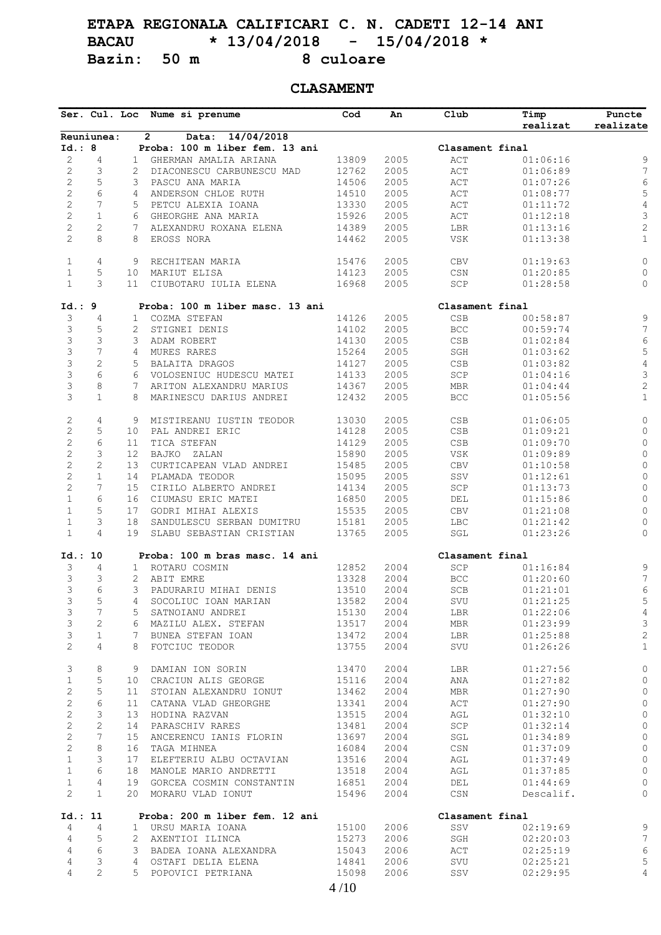# **ETAPA REGIONALA CALIFICARI C. N. CADETI 12-14 ANI BACAU \* 13/04/2018 - 15/04/2018 \* Bazin:** 50 m

### **CLASAMENT**

|                                       |                     |                | Ser. Cul. Loc Nume si prenume                         | Cod            | An           | Club                                        | Timp<br>realizat     | Puncte<br>realizate |
|---------------------------------------|---------------------|----------------|-------------------------------------------------------|----------------|--------------|---------------------------------------------|----------------------|---------------------|
|                                       | Reuniunea:          |                | 14/04/2018<br>$\overline{2}$<br>Data:                 |                |              |                                             |                      |                     |
| Id.: 8                                |                     |                | Proba: 100 m liber fem. 13 ani                        |                |              | Clasament final                             |                      |                     |
| 2                                     | 4                   | $\mathbf{1}$   | GHERMAN AMALIA ARIANA                                 | 13809          | 2005         | ACT                                         | 01:06:16             | 9                   |
| $\sqrt{2}$                            | 3                   | 2              | DIACONESCU CARBUNESCU MAD                             | 12762          | 2005         | $\mathbb{A}\mathbb{C}\mathbb{T}$            | 01:06:89             | $\boldsymbol{7}$    |
| $\overline{c}$                        | 5                   | 3              | PASCU ANA MARIA                                       | 14506          | 2005         | $\mathbb{A}\mathbb{C}\mathbb{T}$            | 01:07:26             | 6                   |
| $\sqrt{2}$                            | 6                   | 4              | ANDERSON CHLOE RUTH                                   | 14510          | 2005         | $\mathtt{ACT}$                              | 01:08:77             | 5                   |
| $\sqrt{2}$                            | 7                   | 5              | PETCU ALEXIA IOANA                                    | 13330          | 2005         | ACT                                         | 01:11:72             | $\sqrt{4}$          |
| $\overline{c}$                        | $\mathbf{1}$        | 6              | GHEORGHE ANA MARIA                                    | 15926          | 2005         | ACT                                         | 01:12:18             | $\mathsf 3$         |
| $\mathbf{2}$                          | $\overline{c}$      | 7              | ALEXANDRU ROXANA ELENA                                | 14389          | 2005         | LBR                                         | 01:13:16             | $\sqrt{2}$          |
| $\overline{c}$                        | 8                   | 8              | EROSS NORA                                            | 14462          | 2005         | VSK                                         | 01:13:38             | $\mathbbm{1}$       |
| $\mathbf{1}$                          | 4                   | 9              | RECHITEAN MARIA                                       | 15476          | 2005         | CBV                                         | 01:19:63             | $\mathsf{O}\xspace$ |
| $\mathbf{1}$                          | 5                   | 10             | MARIUT ELISA                                          | 14123          | 2005         | CSN                                         | 01:20:85             | $\circ$             |
| $\mathbf{1}$                          | 3                   | 11             | CIUBOTARU IULIA ELENA                                 | 16968          | 2005         | $\operatorname{SCP}$                        | 01:28:58             | 0                   |
| Id.: 9                                |                     |                | Proba: 100 m liber masc. 13 ani                       |                |              | Clasament final                             |                      |                     |
|                                       | 4                   |                | COZMA STEFAN                                          |                |              |                                             |                      |                     |
| 3                                     |                     | $\mathbf{1}$   |                                                       | 14126          | 2005<br>2005 | $_{\tt CSB}$                                | 00:58:87             | $\mathsf 9$         |
| 3                                     | 5                   | 2              | STIGNEI DENIS                                         | 14102          |              | $_{\rm BCC}$                                | 00:59:74             | 7                   |
| 3                                     | 3                   | 3              | ADAM ROBERT                                           | 14130          | 2005         | $_{\tt CSB}$                                | 01:02:84             | $\epsilon$          |
| $\ensuremath{\mathsf{3}}$             | $\overline{7}$      | $\overline{4}$ | MURES RARES                                           | 15264          | 2005         | $\operatorname{\mathsf{SGH}}$               | 01:03:62             | $\mathsf S$         |
| 3                                     | $\overline{c}$      | 5              | BALAITA DRAGOS                                        | 14127          | 2005         | $_{\tt CSB}$                                | 01:03:82             | $\overline{4}$      |
| $\mathsf 3$                           | 6                   | 6              | VOLOSENIUC HUDESCU MATEI                              | 14133          | 2005         | SCP                                         | 01:04:16             | $\mathsf S$         |
| $\mathsf S$                           | 8                   | 7              | ARITON ALEXANDRU MARIUS                               | 14367          | 2005         | <b>MBR</b>                                  | 01:04:44             | $\overline{c}$      |
| 3                                     | $\mathbf{1}$        | 8              | MARINESCU DARIUS ANDREI                               | 12432          | 2005         | $_{\rm BCC}$                                | 01:05:56             | $\mathbf 1$         |
| $\mathbf{2}$                          | $\overline{4}$      | 9              | MISTIREANU IUSTIN TEODOR                              | 13030          | 2005         | $_{\tt CSB}$                                | 01:06:05             | $\mathsf{O}\xspace$ |
| $\sqrt{2}$                            | 5                   | 10             | PAL ANDREI ERIC                                       | 14128          | 2005         | $_{\tt CSB}$                                | 01:09:21             | $\mathbb O$         |
| $\sqrt{2}$                            | 6                   | 11             | TICA STEFAN                                           | 14129          | 2005         | $_{\tt CSB}$                                | 01:09:70             | $\mathsf{O}\xspace$ |
| $\sqrt{2}$                            | 3                   | 12             | BAJKO ZALAN                                           | 15890          | 2005         | VSK                                         | 01:09:89             | $\circ$             |
| $\sqrt{2}$                            | $\mathbf{2}$        | 13             | CURTICAPEAN VLAD ANDREI                               | 15485          | 2005         | ${\rm CBV}$                                 | 01:10:58             | $\mathsf{O}$        |
| $\overline{2}$                        | $\mathbf{1}$        | 14             | PLAMADA TEODOR                                        | 15095          | 2005         | $_{\rm{SSV}}$                               | 01:12:61             | $\mathsf{O}\xspace$ |
| $\overline{2}$                        | 7                   | 15             | CIRILO ALBERTO ANDREI                                 | 14134          | 2005         | SCP                                         | 01:13:73             | $\mathbb O$         |
| $\mathbf{1}$                          | 6                   |                |                                                       |                |              |                                             |                      |                     |
|                                       |                     | 16             | CIUMASU ERIC MATEI                                    | 16850          | 2005         | DEL                                         | 01:15:86             | $\mathbb O$         |
| $\mathbf{1}$                          | 5                   | 17             | GODRI MIHAI ALEXIS                                    | 15535          | 2005         | ${\rm CBV}$                                 | 01:21:08             | $\circ$             |
| $\mathbf{1}$<br>$\mathbf{1}$          | 3<br>$\overline{4}$ | 18<br>19       | SANDULESCU SERBAN DUMITRU<br>SLABU SEBASTIAN CRISTIAN | 15181<br>13765 | 2005<br>2005 | <b>LBC</b><br>$\operatorname{\mathsf{SGL}}$ | 01:21:42<br>01:23:26 | 0<br>0              |
|                                       |                     |                |                                                       |                |              |                                             |                      |                     |
| Id.: 10                               |                     |                | Proba: 100 m bras masc. 14 ani                        |                |              | Clasament final                             |                      |                     |
| 3                                     | 4                   | $\mathbf{1}$   | ROTARU COSMIN                                         | 12852          | 2004         | SCP                                         | 01:16:84             | 9                   |
| 3                                     | 3                   | 2              | ABIT EMRE                                             | 13328          | 2004         | BCC                                         | 01:20:60             | $\boldsymbol{7}$    |
| 3                                     | 6                   | 3              | PADURARIU MIHAI DENIS                                 | 13510          | 2004         | SCB                                         | 01:21:01             | 6                   |
| 3                                     | 5                   | 4              | SOCOLIUC IOAN MARIAN                                  | 13582          | 2004         | SVU                                         | 01:21:25             | 5                   |
| 3                                     | $7\phantom{.0}$     | 5              | SATNOIANU ANDREI                                      | 15130          | 2004         | LBR                                         | 01:22:06             | $\overline{4}$      |
| 3                                     | $\mathbf{2}$        | 6              | MAZILU ALEX. STEFAN                                   | 13517          | 2004         | MBR                                         | 01:23:99             | 3                   |
| 3                                     | $\mathbf{1}$        | 7              | BUNEA STEFAN IOAN                                     | 13472          | 2004         | LBR                                         | 01:25:88             | $\sqrt{2}$          |
| $\mathbf{2}^{\prime}$                 | $\overline{4}$      | 8              | FOTCIUC TEODOR                                        | 13755          | 2004         | SVU                                         | 01:26:26             | $\mathbf{1}$        |
| 3                                     | 8                   | 9              | DAMIAN ION SORIN                                      | 13470          | 2004         | LBR                                         | 01:27:56             | 0                   |
| $\mathbf{1}$                          | 5                   | 10             | CRACIUN ALIS GEORGE                                   | 15116          | 2004         | ANA                                         | 01:27:82             | 0                   |
| $\mathbf{2}$                          | 5                   | 11             | STOIAN ALEXANDRU IONUT                                | 13462          | 2004         | MBR                                         | 01:27:90             | 0                   |
| $\mathbf{2}$                          | 6                   | 11             | CATANA VLAD GHEORGHE                                  | 13341          | 2004         | ACT                                         | 01:27:90             | $\circ$             |
| $\mathbf{2}$                          | 3                   | 13             | HODINA RAZVAN                                         | 13515          | 2004         | AGL                                         | 01:32:10             | 0                   |
|                                       |                     |                |                                                       |                |              |                                             |                      |                     |
| $\overline{c}$                        | $\mathbf{2}$        | 14             | PARASCHIV RARES                                       | 13481          | 2004         | SCP                                         | 01:32:14             | $\circledcirc$      |
| $\mathbf{2}$                          | 7                   | 15             | ANCERENCU IANIS FLORIN                                | 13697          | 2004         | SGL                                         | 01:34:89             | $\circledcirc$      |
| $\mathbf{2}$                          | 8                   | 16             | TAGA MIHNEA                                           | 16084          | 2004         | CSN                                         | 01:37:09             | $\circ$             |
| $\mathbf{1}$                          | 3                   | 17             | ELEFTERIU ALBU OCTAVIAN                               | 13516          | 2004         | AGL                                         | 01:37:49             | $\circ$             |
| $\mathbf{1}$                          | 6                   | 18             | MANOLE MARIO ANDRETTI                                 | 13518          | 2004         | AGL                                         | 01:37:85             | $\circ$             |
| $\mathbf{1}$<br>$\mathbf{2}^{\prime}$ | 4<br>$\mathbf{1}$   | 19             | GORCEA COSMIN CONSTANTIN                              | 16851          | 2004         | DEL                                         | 01:44:69             | 0                   |
|                                       |                     | 20             | MORARU VLAD IONUT                                     | 15496          | 2004         | $\mathbb{CSN}{}$                            | Descalif.            | 0                   |
| Id.: 11                               |                     |                | Proba: 200 m liber fem. 12 ani                        |                |              | Clasament final                             |                      |                     |
| 4                                     | 4                   |                | 1 URSU MARIA IOANA                                    | 15100          | 2006         | SSV                                         | 02:19:69             | 9                   |
| 4                                     | 5                   |                | 2 AXENTIOI ILINCA                                     | 15273          | 2006         | SGH                                         | 02:20:03             | $7\phantom{.0}$     |
| 4                                     | 6                   | 3              | BADEA IOANA ALEXANDRA                                 | 15043          | 2006         | ACT                                         | 02:25:19             | 6                   |
| 4                                     | 3                   | 4              | OSTAFI DELIA ELENA                                    | 14841          | 2006         | SVU                                         | 02:25:21             | 5                   |
| 4                                     | $\overline{2}$      |                | 5 POPOVICI PETRIANA                                   | 15098          | 2006         | SSV                                         | 02:29:95             | $\overline{4}$      |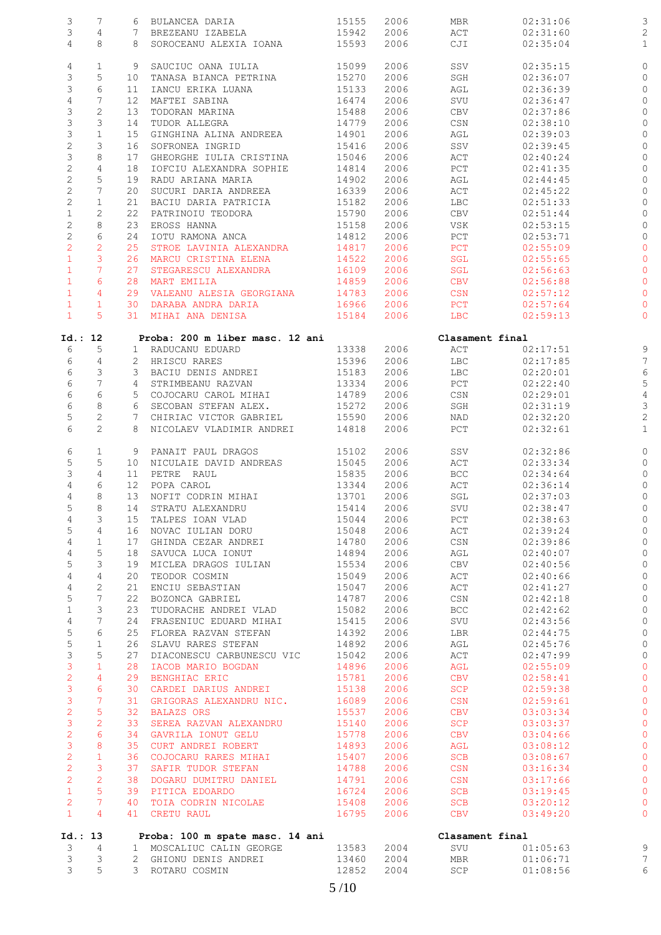| 3                              | 7                             |                 | 6 BULANCEA DARIA                         | 15155          | 2006         | MBR               | 02:31:06             | 3              |
|--------------------------------|-------------------------------|-----------------|------------------------------------------|----------------|--------------|-------------------|----------------------|----------------|
| 3                              | 4                             | 7               | BREZEANU IZABELA                         | 15942          | 2006         | ACT               | 02:31:60             | $\overline{c}$ |
| $\overline{4}$                 | 8                             |                 | 8 SOROCEANU ALEXIA IOANA                 | 15593          | 2006         | CJI               | 02:35:04             | $\mathbf{1}$   |
|                                |                               |                 |                                          |                |              |                   |                      |                |
| 4                              | $\mathbf{1}$                  | 9               | SAUCIUC OANA IULIA                       | 15099          | 2006         | SSV               | 02:35:15             | $\circ$        |
| 3                              | 5                             | 10              | TANASA BIANCA PETRINA                    | 15270          | 2006         | SGH               | 02:36:07             | $\circ$        |
| 3                              | 6                             | 11              | IANCU ERIKA LUANA                        | 15133          | 2006         | AGL               | 02:36:39             | $\circ$        |
| $\overline{4}$                 | 7<br>$\mathbf{2}$             | 12 <sup>°</sup> | MAFTEI SABINA                            | 16474          | 2006         | SVU               | 02:36:47             | O              |
| 3<br>3                         | 3                             | 13<br>14        | TODORAN MARINA<br>TUDOR ALLEGRA          | 15488<br>14779 | 2006<br>2006 | CBV               | 02:37:86<br>02:38:10 | 0<br>$\circ$   |
| $\mathsf S$                    | $\mathbf{1}$                  | 15              | GINGHINA ALINA ANDREEA                   | 14901          | 2006         | CSN               | 02:39:03             | 0              |
| $\mathbf{2}$                   | 3                             | 16              | SOFRONEA INGRID                          | 15416          | 2006         | AGL<br>SSV        | 02:39:45             | 0              |
| $\mathsf S$                    | 8                             | 17              | GHEORGHE IULIA CRISTINA                  | 15046          | 2006         | ACT               | 02:40:24             | 0              |
| $\overline{c}$                 | $\overline{4}$                | 18              | IOFCIU ALEXANDRA SOPHIE                  | 14814          | 2006         | PCT               | 02:41:35             | 0              |
| $\overline{c}$                 | 5                             | 19              | RADU ARIANA MARIA                        | 14902          | 2006         | AGL               | 02:44:45             | O              |
| $\mathbf{2}$                   | 7                             | 20              | SUCURI DARIA ANDREEA                     | 16339          | 2006         | ACT               | 02:45:22             | 0              |
| $\mathbf{2}$                   | $\mathbf{1}$                  | 21              | BACIU DARIA PATRICIA                     | 15182          | 2006         | <b>LBC</b>        | 02:51:33             | 0              |
| $\mathbf 1$                    | $\overline{c}$                | 22              | PATRINOIU TEODORA                        | 15790          | 2006         | CBV               | 02:51:44             | 0              |
| $\mathbf{2}$                   | 8                             | 23              | EROSS HANNA                              | 15158          | 2006         | VSK               | 02:53:15             | 0              |
| $\mathbf 2$                    | 6                             | 24              | IOTU RAMONA ANCA                         | 14812          | 2006         | PCT               | 02:53:71             | $\circ$        |
| $\overline{2}$                 | $\overline{2}$                | 25              | STROE LAVINIA ALEXANDRA                  | 14817          | 2006         | PCT               | 02:55:09             | 0              |
| $\mathbf{1}$                   | $\mathbf{3}$                  | 26              | MARCU CRISTINA ELENA                     | 14522          | 2006         | SGL               | 02:55:65             | O              |
| $\mathbf{1}$                   | $7\overline{ }$               | 27              | STEGARESCU ALEXANDRA                     | 16109          | 2006         | SGL               | 02:56:63             | $\circ$        |
| $\mathbf{1}$                   | 6                             | 28              | MART EMILIA                              | 14859          | 2006         | <b>CBV</b>        | 02:56:88             | $\circ$        |
| $\mathbf{1}$                   | 4                             | 29              | VALEANU ALESIA GEORGIANA                 | 14783          | 2006         | CSN               | 02:57:12             | 0              |
| $\mathbf{1}$                   | $\mathbf{1}$                  | 30              | DARABA ANDRA DARIA                       | 16966          | 2006         | PCT               | 02:57:64             | 0              |
| $\mathbf{1}$                   | $5^{\circ}$                   |                 | 31 MIHAI ANA DENISA                      | 15184          | 2006         | <b>LBC</b>        | 02:59:13             | $\circ$        |
| Id.: 12                        |                               |                 | Proba: 200 m liber masc. 12 ani          |                |              | Clasament final   |                      |                |
| 6                              | 5                             |                 | 1 RADUCANU EDUARD                        | 13338          | 2006         | ACT               | 02:17:51             | 9              |
| 6                              | 4                             |                 | 2 HRISCU RARES                           | 15396          | 2006         | LBC               | 02:17:85             | $\overline{7}$ |
| 6                              | 3                             |                 | 3 BACIU DENIS ANDREI                     | 15183          | 2006         | LBC               | 02:20:01             | $\epsilon$     |
| 6                              | $\boldsymbol{7}$              |                 | 4 STRIMBEANU RAZVAN                      | 13334          | 2006         | PCT               | 02:22:40             | 5              |
| 6                              | 6                             |                 | 5 COJOCARU CAROL MIHAI                   | 14789          | 2006         | CSN               | 02:29:01             | $\overline{4}$ |
| 6                              | 8                             |                 | 6 SECOBAN STEFAN ALEX.                   | 15272          | 2006         | SGH               | 02:31:19             | 3              |
| $\mathsf S$                    | $\mathbf{2}$                  |                 | 7 CHIRIAC VICTOR GABRIEL                 | 15590          | 2006         | NAD               | 02:32:20             | $\overline{c}$ |
| 6                              | 2                             |                 | 8 NICOLAEV VLADIMIR ANDREI               | 14818          | 2006         | PCT               | 02:32:61             | $\mathbf{1}$   |
| 6                              | 1                             |                 | 9 PANAIT PAUL DRAGOS                     | 15102          | 2006         | SSV               | 02:32:86             | O              |
| 5                              | 5                             |                 | 10 NICULAIE DAVID ANDREAS                | 15045          | 2006         | ACT               | 02:33:34             | $\circ$        |
| 3                              | 4                             | 11              | PETRE RAUL                               | 15835          | 2006         | BCC               | 02:34:64             | O              |
| $\sqrt{4}$                     | 6                             | 12              | POPA CAROL                               | 13344          | 2006         | ACT               | 02:36:14             | 0              |
| 4                              | 8                             |                 | 13 NOFIT CODRIN MIHAI                    | 13701          | 2006         | SGL               | 02:37:03             | $\circ$        |
| 5                              | 8                             |                 | 14 STRATU ALEXANDRU                      | 15414          | 2006         | SVU               | 02:38:47             | $\circ$        |
| 4                              | 3                             |                 | 15 TALPES IOAN VLAD                      | 15044          | 2006         | PCT               | 02:38:63             |                |
| 5                              | $\overline{4}$                |                 | 16 NOVAC IULIAN DORU                     | 15048          | 2006         | ACT               | 02:39:24             | O              |
| 4                              | $\mathbf{1}$                  |                 | 17 GHINDA CEZAR ANDREI                   | 14780          | 2006         | CSN               | 02:39:86             | 0              |
| 4                              | 5                             |                 | 18 SAVUCA LUCA IONUT                     | 14894          | 2006         | AGL               | 02:40:07             | $\circ$        |
| 5                              | 3                             |                 | 19 MICLEA DRAGOS IULIAN                  | 15534          | 2006         | CBV               | 02:40:56             | 0              |
| $\overline{4}$                 | $\overline{4}$                | 20              | TEODOR COSMIN                            | 15049          | 2006         | $\mathtt{ACT}$    | 02:40:66             | 0              |
| 4                              | 2<br>$7\phantom{.0}$          | 21              | ENCIU SEBASTIAN                          | 15047          | 2006         | ACT               | 02:41:27             | O              |
| 5<br>$1\,$                     | 3                             | 22<br>23        | BOZONCA GABRIEL<br>TUDORACHE ANDREI VLAD | 14787<br>15082 | 2006<br>2006 | CSN<br><b>BCC</b> | 02:42:18<br>02:42:62 | 0              |
| $\overline{4}$                 | $7\overline{ }$               |                 | 24 FRASENIUC EDUARD MIHAI                | 15415          | 2006         | SVU               | 02:43:56             | $\circ$<br>0   |
| 5                              | 6                             | 25              | FLOREA RAZVAN STEFAN                     | 14392          | 2006         | LBR               | 02:44:75             | 0              |
| $\mathsf S$                    | $\mathbf{1}$                  |                 | 26 SLAVU RARES STEFAN                    | 14892          | 2006         | AGL               | 02:45:76             | $\circ$        |
| 3                              | 5                             | 27              | DIACONESCU CARBUNESCU VIC                | 15042          | 2006         | ACT               | 02:47:99             | $\circ$        |
| 3                              | $\mathbf{1}$                  | 28              | IACOB MARIO BOGDAN                       | 14896          | 2006         | AGL               | 02:55:09             | O              |
| $\overline{c}$                 | $\overline{4}$                | 29              | BENGHIAC ERIC                            | 15781          | 2006         | <b>CBV</b>        | 02:58:41             | $\circ$        |
| 3                              | $6\overline{6}$               |                 | 30 CARDEI DARIUS ANDREI                  | 15138          | 2006         | SCP               | 02:59:38             | $\circ$        |
| 3                              | $7\overline{ }$               | 31              | GRIGORAS ALEXANDRU NIC.                  | 16089          | 2006         | CSN               | 02:59:61             | $\circ$        |
| $\overline{2}$                 | $\overline{5}$                | 32              | <b>BALAZS ORS</b>                        | 15537          | 2006         | <b>CBV</b>        | 03:03:34             | $\circ$        |
| 3                              | 2                             |                 | 33 SEREA RAZVAN ALEXANDRU                | 15140          | 2006         | SCP               | 03:03:37             | $\circ$        |
| $\overline{c}$                 | $6\overline{6}$               |                 | 34 GAVRILA IONUT GELU                    | 15778          | 2006         | <b>CBV</b>        | 03:04:66             | $\circ$        |
| $\mathfrak{Z}$                 | 8                             | 35              | CURT ANDREI ROBERT                       | 14893          | 2006         | AGL               | 03:08:12             | O              |
| $\overline{2}$                 | $\mathbf{1}$                  |                 | 36 COJOCARU RARES MIHAI                  | 15407          | 2006         | <b>SCB</b>        | 03:08:67             | $\circ$        |
| $\overline{2}$                 | $\mathbf{3}$                  | 37              | SAFIR TUDOR STEFAN                       | 14788          | 2006         | CSN               | 03:16:34             | $\circ$        |
| $\overline{2}$                 | 2                             |                 | 38 DOGARU DUMITRU DANIEL                 | 14791          | 2006         | CSN               | 03:17:66             | $\circ$        |
| $\mathbf{1}$                   | $5\phantom{.0}$               |                 | 39 PITICA EDOARDO                        | 16724          | 2006         | <b>SCB</b>        | 03:19:45             | $\circ$        |
| $\overline{2}$<br>$\mathbf{1}$ | $7^{\circ}$<br>$\overline{4}$ |                 | 40 TOIA CODRIN NICOLAE                   | 15408<br>16795 | 2006<br>2006 | <b>SCB</b>        | 03:20:12             | O<br>$\circ$   |
|                                |                               |                 | 41 CRETU RAUL                            |                |              | CBV               | 03:49:20             |                |
| Id.: 13                        |                               |                 | Proba: 100 m spate masc. 14 ani          |                |              | Clasament final   |                      |                |
| 3                              | $\overline{4}$                |                 | 1 MOSCALIUC CALIN GEORGE                 | 13583          | 2004         | SVU               | 01:05:63             | $\circ$        |
| 3                              | 3                             |                 | 2 GHIONU DENIS ANDREI                    | 13460          | 2004         | MBR               | 01:06:71             | $\overline{7}$ |
| 3                              | 5                             |                 | 3 ROTARU COSMIN                          | 12852          | 2004         | SCP               | 01:08:56             | $\epsilon$     |
|                                |                               |                 |                                          | $5/10$         |              |                   |                      |                |
|                                |                               |                 |                                          |                |              |                   |                      |                |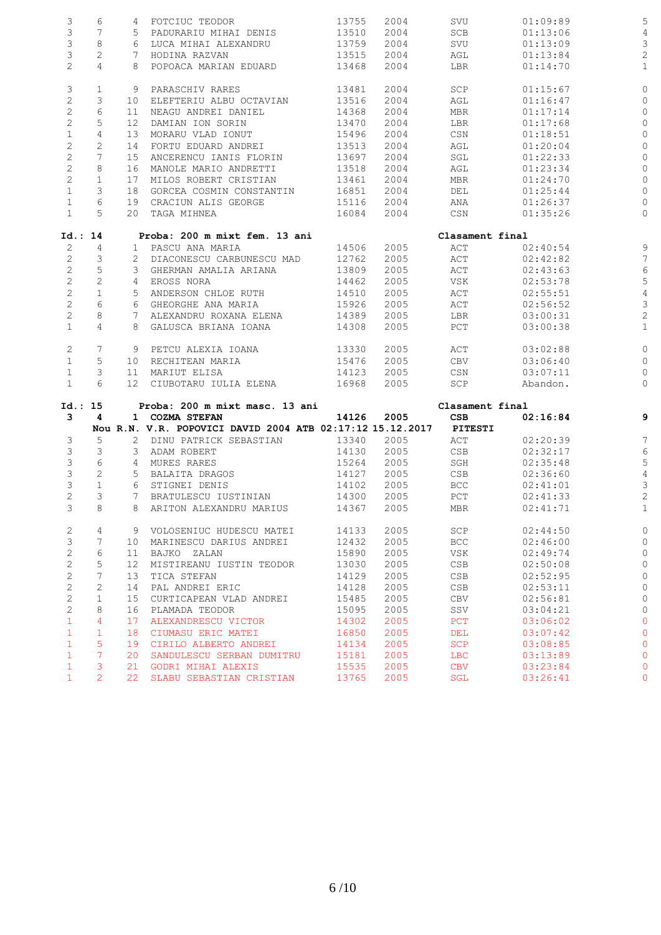| 3                            | 6                   |                 | 4 FOTCIUC TEODOR                                          | 13755          | 2004         | SVU               | 01:09:89             | 5                |
|------------------------------|---------------------|-----------------|-----------------------------------------------------------|----------------|--------------|-------------------|----------------------|------------------|
| 3                            | 7                   |                 | 5 PADURARIU MIHAI DENIS                                   | 13510          | 2004         | SCB               | 01:13:06             |                  |
| 3                            | 8                   |                 | 6 LUCA MIHAI ALEXANDRU                                    | 13759          | 2004         | SVU               | 01:13:09             | 3                |
| 3                            | 2                   | 7               | HODINA RAZVAN                                             | 13515          | 2004         | AGL               | 01:13:84             | 2                |
| $\overline{c}$               | $\overline{4}$      | 8               | POPOACA MARIAN EDUARD                                     | 13468          | 2004         | LBR               | 01:14:70             | $\mathbf{1}$     |
|                              |                     |                 |                                                           |                |              |                   |                      |                  |
| 3                            | $\mathbf{1}$        | 9               | PARASCHIV RARES                                           | 13481          | 2004         | SCP               | 01:15:67             | 0                |
| $\mathbf{2}$                 | 3                   | 10              | ELEFTERIU ALBU OCTAVIAN                                   | 13516          | 2004         | AGL               | 01:16:47             | O                |
| $\mathbf{2}$                 | 6                   | 11              | NEAGU ANDREI DANIEL                                       | 14368          | 2004         | MBR               | 01:17:14             | 0                |
| $\mathbf{2}$                 | 5                   | 12              | DAMIAN ION SORIN                                          | 13470          | 2004         | LBR               | 01:17:68             | 0                |
| $\mathbf 1$                  | 4                   | 13              | MORARU VLAD IONUT                                         | 15496          | 2004         | CSN               | 01:18:51             | 0                |
| $\mathbf{2}$                 | $\overline{c}$      | 14              | FORTU EDUARD ANDREI                                       | 13513          | 2004         | AGL               | 01:20:04             | 0                |
| $\overline{c}$               | 7                   | 15              | ANCERENCU IANIS FLORIN                                    | 13697          | 2004         | SGL               | 01:22:33             | O                |
| $\overline{c}$               | 8                   | 16              | MANOLE MARIO ANDRETTI                                     | 13518          | 2004         | AGL               | 01:23:34             | 0                |
| $\mathbf{2}$                 | $\mathbf{1}$        | 17              | MILOS ROBERT CRISTIAN                                     | 13461          | 2004         | MBR               | 01:24:70             | C                |
| $\mathbf{1}$                 | 3                   | 18              | GORCEA COSMIN CONSTANTIN                                  | 16851          | 2004         | DEL               | 01:25:44             | 0                |
| $\mathbf{1}$                 | 6                   | 19              | CRACIUN ALIS GEORGE                                       | 15116          | 2004         | ANA               | 01:26:37             | 0                |
| $\mathbf{1}$                 | 5                   |                 | 20 TAGA MIHNEA                                            | 16084          | 2004         | CSN               | 01:35:26             | 0                |
|                              |                     |                 |                                                           |                |              |                   |                      |                  |
| Id.: 14                      |                     |                 | Proba: 200 m mixt fem. 13 ani                             |                |              | Clasament final   |                      |                  |
| 2                            | 4                   |                 | 1 PASCU ANA MARIA                                         | 14506          | 2005         | ACT               | 02:40:54             |                  |
| $\mathbf{2}$                 | 3                   |                 | 2 DIACONESCU CARBUNESCU MAD                               | 12762          | 2005         | ACT               | 02:42:82             | 7                |
| $\overline{c}$               | 5                   |                 | 3 GHERMAN AMALIA ARIANA                                   | 13809          | 2005         | ACT               | 02:43:63             | 6                |
| $\overline{c}$               | $\overline{c}$      | 4               | EROSS NORA                                                | 14462          | 2005         | VSK               | 02:53:78             | 5                |
| $\mathbf{2}$                 | $\mathbf{1}$        |                 | 5 ANDERSON CHLOE RUTH                                     | 14510          | 2005         | ACT               | 02:55:51             | $\overline{4}$   |
| $\mathbf{2}$                 | 6                   |                 | 6 GHEORGHE ANA MARIA                                      | 15926          | 2005         | ACT               | 02:56:52             | 3                |
| $\overline{c}$               | 8                   | $7^{\circ}$     | ALEXANDRU ROXANA ELENA                                    | 14389          | 2005         | LBR               | 03:00:31             | $\overline{c}$   |
| $\mathbf{1}$                 | $\overline{4}$      |                 | 8 GALUSCA BRIANA IOANA                                    | 14308          | 2005         | PCT               | 03:00:38             | $\mathbf{1}$     |
| 2                            | 7                   |                 | 9 PETCU ALEXIA IOANA                                      | 13330          | 2005         | ACT               | 03:02:88             | $\circ$          |
| $\mathbf{1}$                 | 5                   | 10              | RECHITEAN MARIA                                           | 15476          | 2005         | CBV               | 03:06:40             | 0                |
| $\mathbf{1}$                 | 3                   | 11              | MARIUT ELISA                                              | 14123          | 2005         | CSN               | 03:07:11             | O                |
| $\mathbf{1}$                 | 6                   |                 | 12 CIUBOTARU IULIA ELENA                                  | 16968          | 2005         | SCP               | Abandon.             | 0                |
|                              |                     |                 |                                                           |                |              |                   |                      |                  |
| Id.: 15                      |                     |                 | Proba: 200 m mixt masc. 13 ani                            |                |              | Clasament final   |                      |                  |
| 3                            | 4                   |                 | 1 COZMA STEFAN                                            | 14126          | 2005         | CSB               | 02:16:84             | 9                |
|                              |                     |                 | Nou R.N. V.R. POPOVICI DAVID 2004 ATB 02:17:12 15.12.2017 |                |              | PITESTI           |                      |                  |
| 3                            | 5                   |                 | 2 DINU PATRICK SEBASTIAN                                  | 13340          | 2005         | ACT               | 02:20:39             | 7                |
| 3                            | 3                   |                 | 3 ADAM ROBERT                                             | 14130          | 2005         | CSB               | 02:32:17             | $\epsilon$       |
| 3                            | 6                   | 4               | MURES RARES                                               | 15264          | 2005         | SGH               | 02:35:48             | 5                |
| 3                            | 2                   |                 | 5 BALAITA DRAGOS                                          | 14127          | 2005         | CSB               | 02:36:60             | $\overline{4}$   |
| 3                            | $\mathbf{1}$        |                 | 6 STIGNEI DENIS                                           | 14102          | 2005         | BCC               | 02:41:01             | 3                |
| $\overline{2}$               | 3                   | 7               | BRATULESCU IUSTINIAN                                      | 14300          | 2005         | PCT               | 02:41:33             | $\overline{c}$   |
| 3                            | 8                   | 8               | ARITON ALEXANDRU MARIUS                                   | 14367          | 2005         | MBR               | 02:41:71             | 1                |
| 2                            | 4                   |                 | 9 VOLOSENIUC HUDESCU MATEI                                | 14133          | 2005         | SCP               | 02:44:50             | C                |
| 3                            | 7                   | 10              | MARINESCU DARIUS ANDREI                                   | 12432          | 2005         | BCC               | 02:46:00             | 0                |
| $\mathbf{2}$                 | 6                   | 11              | BAJKO ZALAN                                               | 15890          | 2005         | VSK               | 02:49:74             | 0                |
| $\overline{c}$               | 5                   | 12 <sup>°</sup> | MISTIREANU IUSTIN TEODOR                                  | 13030          | 2005         | <b>CSB</b>        | 02:50:08             | 0                |
| $\mathbf{2}$                 | 7                   | 13              | TICA STEFAN                                               | 14129          | 2005         | CSB               | 02:52:95             | 0                |
| $\mathbf{2}$                 | 2                   | 14              | PAL ANDREI ERIC                                           | 14128          | 2005         | CSB               | 02:53:11             | O                |
|                              |                     |                 | CURTICAPEAN VLAD ANDREI                                   | 15485          | 2005         | CBV               | 02:56:81             | 0                |
|                              |                     |                 |                                                           |                |              |                   |                      |                  |
| $\overline{c}$               | $\mathbf{1}$        | 15              |                                                           |                |              |                   |                      |                  |
| $\mathbf{2}$                 | 8                   | 16              | PLAMADA TEODOR                                            | 15095          | 2005         | SSV               | 03:04:21             | 0                |
| $\mathbf{1}$                 | $\overline{4}$      | 17              | ALEXANDRESCU VICTOR                                       | 14302          | 2005         | <b>PCT</b>        | 03:06:02             | 0                |
| $\mathbf{1}$                 | $\mathbf{1}$        | 18              | CIUMASU ERIC MATEI                                        | 16850          | 2005         | DEL               | 03:07:42             | $\circ$          |
| $\mathbf{1}$                 | 5                   | 19              | CIRILO ALBERTO ANDREI                                     | 14134          | 2005         | <b>SCP</b>        | 03:08:85             | O                |
| $\mathbf{1}$                 | 7                   | 20              | SANDULESCU SERBAN DUMITRU                                 | 15181          | 2005         | <b>LBC</b>        | 03:13:89             | 0                |
| $\mathbf{1}$<br>$\mathbf{1}$ | 3<br>$\overline{2}$ | 21<br>22        | GODRI MIHAI ALEXIS<br>SLABU SEBASTIAN CRISTIAN            | 15535<br>13765 | 2005<br>2005 | <b>CBV</b><br>SGL | 03:23:84<br>03:26:41 | O<br>$\mathbf 0$ |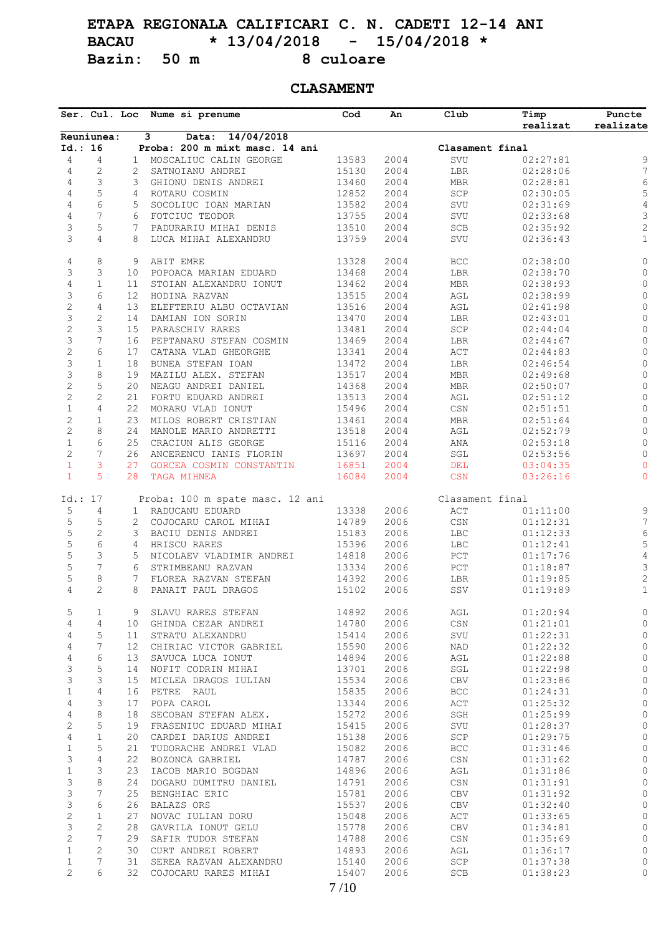# **ETAPA REGIONALA CALIFICARI C. N. CADETI 12-14 ANI BACAU \* 13/04/2018 - 15/04/2018 \* Bazin:** 50 m

## **CLASAMENT**

|                              |                |                | Ser. Cul. Loc Nume si prenume                      | Cod            | An           | Club                             | Timp<br>realizat     | Puncte<br>realizate        |
|------------------------------|----------------|----------------|----------------------------------------------------|----------------|--------------|----------------------------------|----------------------|----------------------------|
|                              | Reuniunea:     |                | Data: 14/04/2018<br>3                              |                |              |                                  |                      |                            |
| Id.: 16                      |                |                | Proba: 200 m mixt masc. 14 ani                     |                |              | Clasament final                  |                      |                            |
| $\overline{4}$               | 4              | $\mathbf{1}$   | MOSCALIUC CALIN GEORGE                             | 13583          | 2004         | SVU                              | 02:27:81             | 9                          |
| $\overline{4}$               | $\overline{c}$ | 2              | SATNOIANU ANDREI                                   | 15130          | 2004         | $_{\rm LBR}$                     | 02:28:06             | $\overline{7}$             |
| $\overline{4}$               | 3              | 3              | GHIONU DENIS ANDREI                                | 13460          | 2004         | <b>MBR</b>                       | 02:28:81             | 6                          |
| $\overline{4}$               | 5              | 4              | ROTARU COSMIN                                      | 12852          | 2004         | SCP                              | 02:30:05             | 5                          |
| $\overline{4}$               | 6              | 5              | SOCOLIUC IOAN MARIAN                               | 13582          | 2004         | SVU                              | 02:31:69             | $\sqrt{4}$                 |
| $\overline{4}$               | 7              | 6              | FOTCIUC TEODOR                                     | 13755          | 2004         | SVU                              | 02:33:68             | $\ensuremath{\mathsf{3}}$  |
| 3                            | 5              | 7              | PADURARIU MIHAI DENIS                              | 13510          | 2004         | $_{\rm SCB}$                     | 02:35:92             | $\sqrt{2}$                 |
| 3                            | $\overline{4}$ | 8              | LUCA MIHAI ALEXANDRU                               | 13759          | 2004         | SVU                              | 02:36:43             | $\mathbf{1}$               |
| 4                            | 8              | 9              | ABIT EMRE                                          | 13328          | 2004         | $_{\rm BCC}$                     | 02:38:00             | $\mathbb O$                |
| 3                            | 3              | 10             | POPOACA MARIAN EDUARD                              | 13468          | 2004         | LBR                              | 02:38:70             | $\circ$                    |
| 4                            | $\mathbf{1}$   | 11             | STOIAN ALEXANDRU IONUT                             | 13462          | 2004         | $\operatorname{\mathsf{MBR}}$    | 02:38:93             | $\mathbb O$                |
| 3                            | 6              | 12             | HODINA RAZVAN                                      | 13515          | 2004         | $\operatorname{AGL}$             | 02:38:99             | 0                          |
| $\sqrt{2}$                   | $\overline{4}$ | 13             | ELEFTERIU ALBU OCTAVIAN                            | 13516          | 2004         | $\operatorname{AGL}$             | 02:41:98             | 0                          |
| 3                            | $\mathbf{2}$   | 14             | DAMIAN ION SORIN                                   | 13470          | 2004         | LBR                              | 02:43:01             | $\mathbb O$                |
| $\mathbf{2}$                 | 3              | 15             | PARASCHIV RARES                                    | 13481          | 2004         | SCP                              | 02:44:04             | $\mathsf{O}$               |
| 3                            | 7              | 16             | PEPTANARU STEFAN COSMIN                            | 13469          | 2004         | LBR                              | 02:44:67             | $\mathbb O$                |
| $\mathbf{2}$                 | 6              | 17             | CATANA VLAD GHEORGHE                               | 13341          | 2004         | $\mathtt{ACT}$                   | 02:44:83             | $\mathbb O$                |
| 3                            | $\mathbf{1}$   | 18             | BUNEA STEFAN IOAN                                  | 13472          | 2004         | $_{\rm LBR}$                     | 02:46:54             | 0                          |
| 3                            | 8              | 19             | MAZILU ALEX. STEFAN                                | 13517          | 2004         | MBR                              | 02:49:68             | $\mathbb O$                |
| $\sqrt{2}$                   | 5              | 20             | NEAGU ANDREI DANIEL                                | 14368          | 2004         | $\operatorname{\mathsf{MBR}}$    | 02:50:07             | 0                          |
| $\sqrt{2}$                   | $\overline{c}$ | 21             | FORTU EDUARD ANDREI                                | 13513          | 2004         | AGL                              | 02:51:12             | $\mathbb O$                |
| $\mathbf 1$                  | $\overline{4}$ | 22             | MORARU VLAD IONUT                                  | 15496          | 2004         | $\mathbb{C}\mathbb{S}\mathbb{N}$ | 02:51:51             | $\mathsf{O}$               |
| $\sqrt{2}$                   | $\mathbf{1}$   | 23             | MILOS ROBERT CRISTIAN                              | 13461          | 2004         | $\operatorname{\mathsf{MBR}}$    | 02:51:64             | 0                          |
| $\mathbf{2}$                 | 8              | 24             | MANOLE MARIO ANDRETTI                              | 13518          | 2004         | AGL                              | 02:52:79             | $\mathbb O$                |
|                              | 6              |                |                                                    |                |              |                                  |                      |                            |
| $\mathbf{1}$                 |                | 25             | CRACIUN ALIS GEORGE                                | 15116          | 2004         | ANA                              | 02:53:18             | 0                          |
| $\mathbf{2}$                 | 7              | 26             | ANCERENCU IANIS FLORIN                             | 13697          | 2004         | $\operatorname{\mathsf{SGL}}$    | 02:53:56             | 0                          |
| $\mathbf{1}$<br>$\mathbf{1}$ | 3<br>5         | 27<br>28       | GORCEA COSMIN CONSTANTIN<br>TAGA MIHNEA            | 16851<br>16084 | 2004<br>2004 | DEL<br><b>CSN</b>                | 03:04:35<br>03:26:16 | $\mathbf 0$<br>$\mathbf 0$ |
| Id.: 17                      |                |                |                                                    |                |              | Clasament final                  |                      |                            |
| 5                            | 4              | 1              | Proba: 100 m spate masc. 12 ani<br>RADUCANU EDUARD | 13338          | 2006         | $\mathtt{ACT}$                   | 01:11:00             | 9                          |
| 5                            | 5              | 2              | COJOCARU CAROL MIHAI                               | 14789          | 2006         | $\mathbb{C}\mathbb{S}\mathbb{N}$ | 01:12:31             | 7                          |
|                              | $\mathbf{2}$   |                |                                                    |                |              |                                  |                      |                            |
| 5                            |                | 3              | BACIU DENIS ANDREI                                 | 15183          | 2006         | LBC                              | 01:12:33             | $\epsilon$                 |
| 5                            | 6              | $\overline{4}$ | HRISCU RARES                                       | 15396          | 2006         | $_{\rm LBC}$                     | 01:12:41             | 5                          |
| 5                            | 3              | 5              | NICOLAEV VLADIMIR ANDREI                           | 14818          | 2006         | $_{\rm PCT}$                     | 01:17:76             | $\sqrt{4}$                 |
| 5                            | 7              | 6              | STRIMBEANU RAZVAN                                  | 13334          | 2006         | $_{\rm PCT}$                     | 01:18:87             | 3                          |
| 5                            | 8              | 7              | FLOREA RAZVAN STEFAN                               | 14392          | 2006         | LBR                              | 01:19:85             | $\sqrt{2}$                 |
| 4                            | $\overline{c}$ | 8              | PANAIT PAUL DRAGOS                                 | 15102          | 2006         | SSV                              | 01:19:89             | $\mathbf{1}$               |
| 5                            | 1              |                | 9 SLAVU RARES STEFAN                               | 14892          | 2006         | AGL                              | 01:20:94             | 0                          |
| 4                            | 4              | 10             | GHINDA CEZAR ANDREI                                | 14780          | 2006         | $_{\mbox{\tiny{CSN}}}$           | 01:21:01             | 0                          |
| 4                            | 5              | 11             | STRATU ALEXANDRU                                   | 15414          | 2006         | SVU                              | 01:22:31             | 0                          |
| 4                            | 7              | 12             | CHIRIAC VICTOR GABRIEL                             | 15590          | 2006         | NAD                              | 01:22:32             | 0                          |
| $\overline{4}$               | 6              | 13             | SAVUCA LUCA IONUT                                  | 14894          | 2006         | AGL                              | 01:22:88             | $\circ$                    |
| 3                            | 5              | 14             | NOFIT CODRIN MIHAI                                 | 13701          | 2006         | SGL                              | 01:22:98             | $\circ$                    |
| 3                            | 3              | 15             | MICLEA DRAGOS IULIAN                               | 15534          | 2006         | ${\tt CBV}$                      | 01:23:86             | $\circ$                    |
| $\mathbf{1}$                 | $\sqrt{4}$     | 16             | PETRE RAUL                                         | 15835          | 2006         | $_{\rm BCC}$                     | 01:24:31             | $\mathbb O$                |
| 4                            | 3              | 17             | POPA CAROL                                         | 13344          | 2006         | ACT                              | 01:25:32             | 0                          |
| $\overline{4}$               | 8              | 18             | SECOBAN STEFAN ALEX.                               | 15272          | 2006         | SGH                              | 01:25:99             | $\circ$                    |
| $\mathbf{2}$                 | 5              | 19             | FRASENIUC EDUARD MIHAI                             | 15415          | 2006         | SVU                              | 01:28:37             | 0                          |
| $\overline{4}$               | $\mathbf{1}$   | 20             | CARDEI DARIUS ANDREI                               | 15138          | 2006         | SCP                              | 01:29:75             | $\mathbb O$                |
| $\mathbf{1}$                 | 5              | 21             | TUDORACHE ANDREI VLAD                              | 15082          | 2006         | $_{\rm BCC}$                     | 01:31:46             | 0                          |
| $\mathfrak{Z}$               | $\sqrt{4}$     | 22             |                                                    | 14787          | 2006         |                                  |                      | 0                          |
| $\,1$                        | 3              |                | BOZONCA GABRIEL                                    |                |              | CSN                              | 01:31:62             | $\circ$                    |
|                              |                | 23             | IACOB MARIO BOGDAN                                 | 14896          | 2006         | AGL                              | 01:31:86             |                            |
| 3                            | 8              | 24             | DOGARU DUMITRU DANIEL                              | 14791          | 2006         | $\mathbb{C}\mathbb{S}\mathbb{N}$ | 01:31:91             | 0                          |
| 3                            | 7              | 25             | BENGHIAC ERIC                                      | 15781          | 2006         | CBV                              | 01:31:92             | $\circ$                    |
| 3                            | 6              | 26             | <b>BALAZS ORS</b>                                  | 15537          | 2006         | ${\rm CBV}$                      | 01:32:40             | $\circ$                    |
| $\sqrt{2}$                   | $\mathbf{1}$   | 27             | NOVAC IULIAN DORU                                  | 15048          | 2006         | ACT                              | 01:33:65             | $\circ$                    |
| 3                            | $\mathbf{2}$   | 28             | GAVRILA IONUT GELU                                 | 15778          | 2006         | CBV                              | 01:34:81             | $\circ$                    |
|                              | 7              | 29             | SAFIR TUDOR STEFAN                                 | 14788          | 2006         | CSN                              | 01:35:69             | 0                          |
| $\mathbf{2}$                 |                |                |                                                    |                |              |                                  |                      |                            |
| $\mathbf{1}$                 | $\mathbf{2}$   | 30             | CURT ANDREI ROBERT                                 | 14893          | 2006         | AGL                              | 01:36:17             | 0                          |
| $\mathbf{1}$                 | 7              | 31             | SEREA RAZVAN ALEXANDRU                             | 15140          | 2006         | SCP                              | 01:37:38             | 0                          |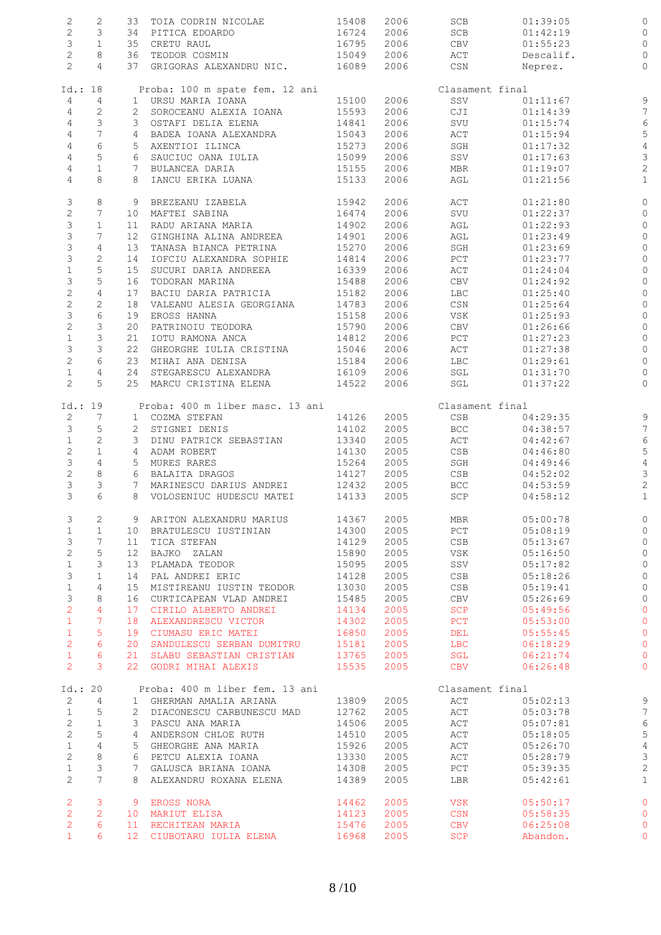| $\mathbf{2}$          | $\mathbf{2}$    |                | 33 TOIA CODRIN NICOLAE          | 15408 | 2006         | SCB             | 01:39:05             |                                |
|-----------------------|-----------------|----------------|---------------------------------|-------|--------------|-----------------|----------------------|--------------------------------|
| $\overline{c}$        | $\mathcal{S}$   |                | 34 PITICA EDOARDO               | 16724 | 2006         | SCB             | 01:42:19             | O                              |
| $\mathfrak{Z}$        | $\mathbf{1}$    |                | 35 CRETU RAUL                   | 16795 | 2006         | CBV             | 01:55:23             | 0                              |
|                       |                 |                |                                 |       |              |                 |                      |                                |
| $\mathbf{2}$          | 8               |                | 36 TEODOR COSMIN                | 15049 | 2006         | ACT             | Descalif.            | $\circ$                        |
| $\overline{2}$        | $\overline{4}$  |                | 37 GRIGORAS ALEXANDRU NIC.      | 16089 | 2006         | CSN             | Neprez.              | $\mathbb O$                    |
|                       |                 |                |                                 |       |              |                 |                      |                                |
| Id.: 18               |                 |                | Proba: 100 m spate fem. 12 ani  |       |              | Clasament final |                      |                                |
| 4                     | $\overline{4}$  |                | 1 URSU MARIA IOANA              | 15100 | 2006         | SSV             | 01:11:67             | g                              |
| 4                     | $\overline{2}$  |                | 2 SOROCEANU ALEXIA IOANA        | 15593 | 2006         | CJI             | 01:14:39             | $\overline{7}$                 |
| 4                     | $\mathfrak{Z}$  |                | 3 OSTAFI DELIA ELENA            | 14841 | 2006         | SVU             | 01:15:74             | $\epsilon$                     |
| 4                     | $\overline{7}$  |                | 4 BADEA IOANA ALEXANDRA         | 15043 | 2006         | $\mathtt{ACT}$  | 01:15:94             | 5                              |
| 4                     | $\epsilon$      |                | 5 AXENTIOI ILINCA               | 15273 | 2006         | SGH             | 01:17:32             |                                |
|                       |                 |                |                                 |       |              |                 |                      | $\overline{4}$                 |
| $\sqrt{4}$            | $\mathsf S$     |                | 6 SAUCIUC OANA IULIA            | 15099 | 2006         | SSV             | 01:17:63             | 3                              |
| $\overline{4}$        | $\mathbf{1}$    |                | 7 BULANCEA DARIA                | 15155 | 2006         | MBR             | 01:19:07             | $\overline{c}$                 |
| 4                     | 8               |                | 8 IANCU ERIKA LUANA             | 15133 | 2006         | AGL             | 01:21:56             | $\mathbf{1}$                   |
|                       |                 |                |                                 |       |              |                 |                      |                                |
| 3                     | 8               |                | 9 BREZEANU IZABELA              | 15942 | 2006         | $\mathtt{ACT}$  | 01:21:80             | 0                              |
| $\overline{c}$        | $7\overline{ }$ |                | 10 MAFTEI SABINA                | 16474 | 2006         | SVU             | 01:22:37             | 0                              |
| $\mathsf 3$           | $\mathbf{1}$    |                | 11 RADU ARIANA MARIA            | 14902 | 2006         | AGL             | 01:22:93             | 0                              |
| 3                     | $7\overline{ }$ |                | 12 GINGHINA ALINA ANDREEA       | 14901 | 2006         | AGL             | 01:23:49             | 0                              |
| 3                     | $\overline{4}$  | 13             | TANASA BIANCA PETRINA           | 15270 | 2006         | SGH             | 01:23:69             | $\circ$                        |
| $\mathfrak{Z}$        | $\mathbf{2}$    |                |                                 |       |              |                 |                      |                                |
|                       |                 | 14             | IOFCIU ALEXANDRA SOPHIE         | 14814 | 2006         | $_{\rm PCT}$    | 01:23:77             | 0                              |
| $\mathbbm{1}$         | 5               | 15             | SUCURI DARIA ANDREEA            | 16339 | 2006         | $\mathtt{ACT}$  | 01:24:04             | $\circ$                        |
| 3                     | $\mathsf S$     | 16             | TODORAN MARINA                  | 15488 | 2006         | CBV             | 01:24:92             | 0                              |
| $\overline{c}$        | $\overline{4}$  | 17             | BACIU DARIA PATRICIA            | 15182 | 2006         | <b>LBC</b>      | 01:25:40             | $\circ$                        |
| $\mathbf{2}$          | $\overline{c}$  |                | 18 VALEANU ALESIA GEORGIANA     | 14783 | 2006         | CSN             | 01:25:64             | 0                              |
| 3                     | $\epsilon$      | 19             | EROSS HANNA                     | 15158 | 2006         | VSK             | 01:25:93             | 0                              |
| $\overline{c}$        | $\mathcal{E}$   | 20             | PATRINOIU TEODORA               | 15790 | 2006         | CBV             | 01:26:66             | O                              |
|                       |                 |                |                                 |       |              |                 |                      |                                |
| $\mathbbm{1}$         | $\mathfrak{Z}$  | 21             | IOTU RAMONA ANCA                | 14812 | 2006         | PCT             | 01:27:23             | 0                              |
| 3                     | $\mathcal{E}$   |                | 22 GHEORGHE IULIA CRISTINA      | 15046 | 2006         | ACT             | 01:27:38             | $\circ$                        |
| $\overline{c}$        | 6               | 23             | MIHAI ANA DENISA                | 15184 | 2006         | LBC             | 01:29:61             | 0                              |
| $\mathbf{1}$          | $\overline{4}$  | 24             | STEGARESCU ALEXANDRA            | 16109 | 2006         | SGL             | 01:31:70             | 0                              |
| $\overline{c}$        | 5               |                | 25 MARCU CRISTINA ELENA         | 14522 | 2006         | SGL             | 01:37:22             | $\circ$                        |
|                       |                 |                |                                 |       |              |                 |                      |                                |
| Id.: 19               |                 |                | Proba: 400 m liber masc. 13 ani |       |              | Clasament final |                      |                                |
|                       |                 |                |                                 |       |              | CSB             | 04:29:35             | g                              |
|                       | $7\overline{ }$ |                |                                 |       |              |                 |                      |                                |
| $\overline{2}$        |                 |                | 1 COZMA STEFAN                  | 14126 | 2005         |                 |                      |                                |
| $\mathcal{S}$         | 5               |                | 2 STIGNEI DENIS                 | 14102 | 2005         | BCC             | 04:38:57             | $\overline{7}$                 |
| $\mathbf{1}$          | $\mathbf{2}$    |                | 3 DINU PATRICK SEBASTIAN        | 13340 | 2005         | ACT             | 04:42:67             | $\epsilon$                     |
| $\overline{c}$        | $\mathbf{1}$    |                | 4 ADAM ROBERT                   | 14130 | 2005         | CSB             | 04:46:80             | 5                              |
| 3                     | $\overline{4}$  |                | 5 MURES RARES                   | 15264 | 2005         | SGH             | 04:49:46             | $\overline{4}$                 |
| $\overline{c}$        | $\,8\,$         |                | 6 BALAITA DRAGOS                | 14127 | 2005         | CSB             | 04:52:02             | 3                              |
| 3                     | 3               |                | 7 MARINESCU DARIUS ANDREI       | 12432 |              | BCC             |                      |                                |
| 3                     | 6               |                | 8 VOLOSENIUC HUDESCU MATEI      | 14133 | 2005<br>2005 | SCP             | 04:53:59<br>04:58:12 | $\overline{c}$<br>$\mathbf{1}$ |
|                       |                 |                |                                 |       |              |                 |                      |                                |
| 3                     | 2               |                | 9 ARITON ALEXANDRU MARIUS       | 14367 | 2005         | MBR             | 05:00:78             |                                |
|                       |                 |                |                                 |       |              |                 |                      |                                |
| $\mathbf 1$           | $\mathbf{1}$    |                | 10 BRATULESCU IUSTINIAN         | 14300 | 2005         | PCT             | 05:08:19             | 0                              |
| 3                     | 7               | 11             | TICA STEFAN                     | 14129 | 2005         | CSB             | 05:13:67             | O                              |
| $\mathbf{2}$          | 5               | 12             | BAJKO ZALAN                     | 15890 | 2005         | VSK             | 05:16:50             | $\circ$                        |
| $\mathbf{1}$          | 3               | 13             | PLAMADA TEODOR                  | 15095 | 2005         | SSV             | 05:17:82             | $\circ$                        |
| 3                     | $\mathbf{1}$    | 14             | PAL ANDREI ERIC                 | 14128 | 2005         | CSB             | 05:18:26             | $\circ$                        |
| $\mathbf 1$           | 4               | 15             | MISTIREANU IUSTIN TEODOR        | 13030 | 2005         | CSB             | 05:19:41             | $\circ$                        |
|                       |                 | 16             |                                 |       |              |                 |                      |                                |
| $\mathfrak{Z}$        | 8               |                | CURTICAPEAN VLAD ANDREI         | 15485 | 2005         | CBV             | 05:26:69             | $\circ$                        |
| $\overline{c}$        | $\overline{4}$  | 17             | CIRILO ALBERTO ANDREI           | 14134 | 2005         | <b>SCP</b>      | 05:49:56             | $\circ$                        |
| $\mathbf{1}$          | 7               | 18             | ALEXANDRESCU VICTOR             | 14302 | 2005         | <b>PCT</b>      | 05:53:00             | $\circ$                        |
| $\mathbf{1}$          | 5               | 19             | CIUMASU ERIC MATEI              | 16850 | 2005         | DEL             | 05:55:45             | $\circ$                        |
| $\overline{2}$        | 6               | 20             | SANDULESCU SERBAN DUMITRU       | 15181 | 2005         | <b>LBC</b>      | 06:18:29             | $\circ$                        |
| $\mathbf{1}$          | 6               | 21             | SLABU SEBASTIAN CRISTIAN        | 13765 | 2005         | SGL             | 06:21:74             | $\circ$                        |
| 2                     | 3               |                | 22 GODRI MIHAI ALEXIS           | 15535 | 2005         | <b>CBV</b>      | 06:26:48             | $\circ$                        |
|                       |                 |                |                                 |       |              |                 |                      |                                |
| Id.: 20               |                 |                | Proba: 400 m liber fem. 13 ani  |       |              | Clasament final |                      |                                |
| 2                     | 4               |                | 1 GHERMAN AMALIA ARIANA         | 13809 | 2005         | ACT             | 05:02:13             | 9                              |
| $\mathbf{1}$          | 5               |                | 2 DIACONESCU CARBUNESCU MAD     | 12762 | 2005         | ACT             | 05:03:78             | $\overline{7}$                 |
|                       | $\mathbf{1}$    |                | 3 PASCU ANA MARIA               | 14506 | 2005         | ACT             | 05:07:81             |                                |
| $\mathbf{2}$          |                 | 4              |                                 | 14510 |              |                 |                      | $\epsilon$                     |
| 2                     | 5               |                | ANDERSON CHLOE RUTH             |       | 2005         | ACT             | 05:18:05             | 5                              |
| $\mathbf{1}$          | 4               | 5              | GHEORGHE ANA MARIA              | 15926 | 2005         | ACT             | 05:26:70             | $\overline{4}$                 |
| $\overline{c}$        | $\,8\,$         |                | 6 PETCU ALEXIA IOANA            | 13330 | 2005         | ACT             | 05:28:79             | 3                              |
| $\mathbf{1}$          | 3               | $7\phantom{0}$ | GALUSCA BRIANA IOANA            | 14308 | 2005         | PCT             | 05:39:35             | $\overline{c}$                 |
| $\mathbf{2}^{\prime}$ | $7\phantom{.0}$ |                | 8 ALEXANDRU ROXANA ELENA        | 14389 | 2005         | LBR             | 05:42:61             | $\mathbf{1}$                   |
|                       |                 |                |                                 |       |              |                 |                      |                                |
| $\overline{2}$        | 3               |                | 9 EROSS NORA                    | 14462 | 2005         | VSK             | 05:50:17             | 0                              |
| $\overline{2}$        | 2               |                | 10 MARIUT ELISA                 | 14123 | 2005         | CSN             | 05:58:35             | $\circ$                        |
| $\overline{2}$        | 6               | 11             | RECHITEAN MARIA                 | 15476 | 2005         | <b>CBV</b>      | 06:25:08             | $\circ$                        |
| $\mathbf{1}$          | 6               |                | 12 CIUBOTARU IULIA ELENA        | 16968 | 2005         | <b>SCP</b>      | Abandon.             | 0                              |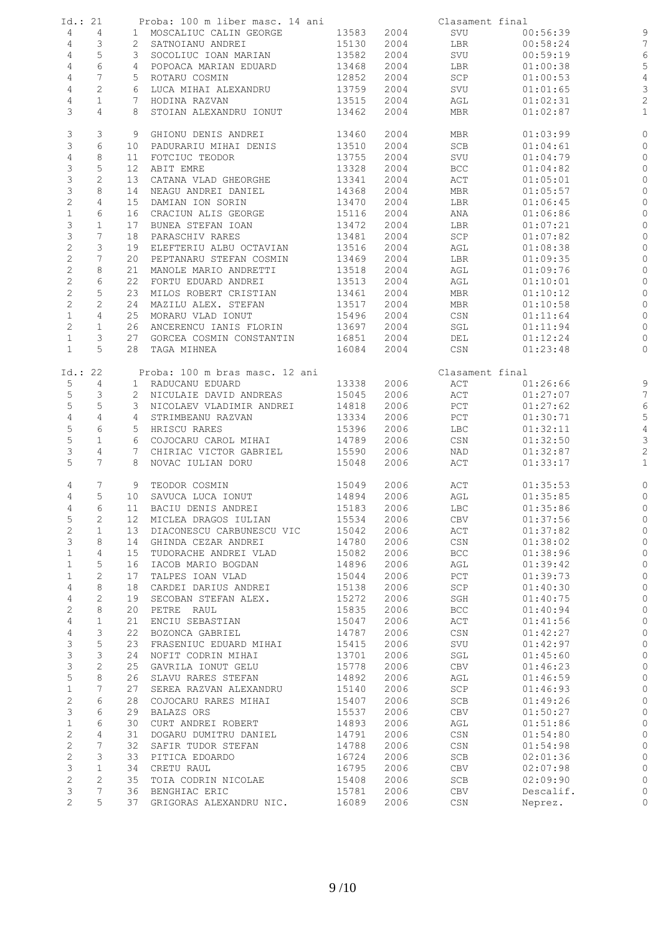| Id.: 21        |                 |    | Proba: 100 m liber masc. 14 ani                   |                |              | Clasament final                  |                      |                         |
|----------------|-----------------|----|---------------------------------------------------|----------------|--------------|----------------------------------|----------------------|-------------------------|
| 4              | 4               |    | 1 MOSCALIUC CALIN GEORGE                          | 13583          | 2004         | SVU                              | 00:56:39             |                         |
|                |                 |    |                                                   |                |              |                                  |                      | 9                       |
| 4              | 3               |    | 2 SATNOIANU ANDREI                                | 15130          | 2004         | LBR                              | 00:58:24             | 7                       |
| 4              | $\mathsf S$     |    | 3 SOCOLIUC IOAN MARIAN                            | 13582          | 2004         | SVU                              | 00:59:19             | 6                       |
| 4              | $\epsilon$      |    | 4 POPOACA MARIAN EDUARD                           | 13468          | 2004         | LBR                              | 01:00:38             | 5                       |
| 4              | $7\overline{ }$ |    | 5 ROTARU COSMIN                                   | 12852          | 2004         | SCP                              | 01:00:53             | $\overline{4}$          |
| 4              | $\mathbf{2}$    |    | 6 LUCA MIHAI ALEXANDRU                            | 13759          | 2004         | SVU                              | 01:01:65             | 3                       |
|                |                 |    |                                                   |                |              |                                  |                      |                         |
| $\overline{4}$ | $\mathbf{1}$    |    | 7 HODINA RAZVAN                                   | 13515          | 2004         | AGL                              | 01:02:31             | $\overline{c}$          |
| 3              | 4               |    | 8 STOIAN ALEXANDRU IONUT                          | 13462          | 2004         | MBR                              | 01:02:87             | $\mathbf{1}$            |
|                |                 |    |                                                   |                |              |                                  |                      |                         |
| 3<br>3         | 3<br>6          |    | 9 GHIONU DENIS ANDREI<br>10 PADURARIU MIHAI DENIS | 13460<br>13510 | 2004<br>2004 | MBR<br>SCB                       | 01:03:99<br>01:04:61 | 0<br>0                  |
|                |                 |    |                                                   |                |              |                                  |                      |                         |
| 4              | 8               | 11 | FOTCIUC TEODOR                                    | 13755          | 2004         | SVU                              | 01:04:79             | O                       |
| 3              | 5               | 12 | ABIT EMRE                                         | 13328          | 2004         | <b>BCC</b>                       | 01:04:82             | 0                       |
| 3              | $\mathbf{2}$    |    | 13 CATANA VLAD GHEORGHE                           | 13341          | 2004         | ACT                              | 01:05:01             | 0                       |
| 3              | 8               | 14 | NEAGU ANDREI DANIEL                               | 14368          | 2004         | MBR                              | 01:05:57             | 0                       |
| $\overline{c}$ | 4               | 15 | DAMIAN ION SORIN                                  | 13470          | 2004         | LBR                              | 01:06:45             | 0                       |
| $\,1\,$        | 6               |    | 16 CRACIUN ALIS GEORGE                            | 15116          | 2004         | ANA                              | 01:06:86             | $\circ$                 |
|                |                 |    |                                                   |                |              |                                  |                      |                         |
| 3              | $\mathbf{1}$    | 17 | BUNEA STEFAN IOAN                                 | 13472          | 2004         | LBR                              | 01:07:21             | 0                       |
| 3              | 7               | 18 | PARASCHIV RARES                                   | 13481          | 2004         | SCP                              | 01:07:82             | O                       |
| $\mathbf{2}$   | 3               | 19 | ELEFTERIU ALBU OCTAVIAN                           | 13516          | 2004         | AGL                              | 01:08:38             | 0                       |
| $\overline{c}$ | $7\overline{ }$ | 20 | PEPTANARU STEFAN COSMIN                           | 13469          | 2004         | LBR                              | 01:09:35             | 0                       |
| $\mathbf{2}$   | 8               | 21 | MANOLE MARIO ANDRETTI                             | 13518          | 2004         | AGL                              | 01:09:76             | 0                       |
|                | 6               | 22 | FORTU EDUARD ANDREI                               | 13513          | 2004         |                                  |                      |                         |
| $\mathbf{2}$   |                 |    |                                                   |                |              | AGL                              | 01:10:01             | 0                       |
| $\mathbf 2$    | $\mathsf S$     |    | 23 MILOS ROBERT CRISTIAN                          | 13461          | 2004         | MBR                              | 01:10:12             | $\circ$                 |
| $\overline{c}$ | $\overline{c}$  |    | 24 MAZILU ALEX. STEFAN                            | 13517          | 2004         | MBR                              | 01:10:58             | 0                       |
| $\mathbf{1}$   | $\overline{4}$  |    | 25 MORARU VLAD IONUT                              | 15496          | 2004         | CSN                              | 01:11:64             | 0                       |
| $\mathbf{2}$   | $\mathbf{1}$    |    | 26 ANCERENCU IANIS FLORIN                         | 13697          | 2004         | SGL                              | 01:11:94             | 0                       |
| $\mathbf{1}$   | 3               |    | 27 GORCEA COSMIN CONSTANTIN                       | 16851          | 2004         | DEL                              | 01:12:24             | 0                       |
| $\mathbf{1}$   | 5               |    |                                                   |                |              |                                  |                      |                         |
|                |                 |    | 28 TAGA MIHNEA                                    | 16084          | 2004         | CSN                              | 01:23:48             | $\circ$                 |
| Id.: 22        |                 |    | Proba: 100 m bras masc. 12 ani                    |                |              | Clasament final                  |                      |                         |
| 5              | $\overline{4}$  |    | 1 RADUCANU EDUARD                                 | 13338          | 2006         | ACT                              |                      | 9                       |
|                |                 |    |                                                   |                |              |                                  | 01:26:66             |                         |
| 5              | 3               |    | 2 NICULAIE DAVID ANDREAS                          | 15045          | 2006         | ACT                              | 01:27:07             | 7                       |
| 5              | $\mathsf S$     |    | 3 NICOLAEV VLADIMIR ANDREI                        | 14818          | 2006         | PCT                              | 01:27:62             | $\epsilon$              |
| $\overline{4}$ | 4               |    | 4 STRIMBEANU RAZVAN                               | 13334          | 2006         | PCT                              | 01:30:71             | 5                       |
| $\mathsf S$    | 6               |    | 5 HRISCU RARES                                    | 15396          | 2006         | <b>LBC</b>                       | 01:32:11             | $\overline{4}$          |
| $\mathsf S$    | $\mathbf 1$     |    | 6 COJOCARU CAROL MIHAI                            | 14789          | 2006         | CSN                              | 01:32:50             | 3                       |
|                | 4               |    | 7 CHIRIAC VICTOR GABRIEL                          | 15590          | 2006         |                                  |                      |                         |
| 3              |                 |    |                                                   |                |              | NAD                              | 01:32:87             | $\overline{\mathbf{c}}$ |
| 5              | $7^{\circ}$     |    | 8 NOVAC IULIAN DORU                               | 15048          | 2006         | ACT                              | 01:33:17             | $\mathbf{1}$            |
| 4              | 7               |    | 9 TEODOR COSMIN                                   | 15049          | 2006         | ACT                              | 01:35:53             | $\circ$                 |
| 4              | 5               |    | 10 SAVUCA LUCA IONUT                              | 14894          | 2006         | AGL                              | 01:35:85             |                         |
|                |                 |    |                                                   |                |              |                                  |                      | $\circ$                 |
| 4              | 6               |    | 11 BACIU DENIS ANDREI                             | 15183          | 2006         | <b>LBC</b>                       | 01:35:86             | $\mathbb{C}$            |
| 5              | 2               | 12 | MICLEA DRAGOS IULIAN                              | 15534          | 2006         | CBV                              | 01:37:56             | 0                       |
| $\mathbf{2}$   | $\mathbf{1}$    | 13 | DIACONESCU CARBUNESCU VIC                         | 15042          | 2006         | ACT                              | 01:37:82             | 0                       |
| 3              | 8               | 14 | GHINDA CEZAR ANDREI                               | 14780          | 2006         | CSN                              | 01:38:02             | 0                       |
| $\mathbf 1$    | $\overline{4}$  | 15 | TUDORACHE ANDREI VLAD                             | 15082          | 2006         | <b>BCC</b>                       | 01:38:96             | 0                       |
| $\mathbf 1$    | 5               | 16 | IACOB MARIO BOGDAN                                | 14896          | 2006         | AGL                              | 01:39:42             | O                       |
|                |                 |    |                                                   |                |              |                                  |                      |                         |
| $\mathbf{1}$   | $\mathbf{2}$    | 17 | TALPES IOAN VLAD                                  | 15044          | 2006         | PCT                              | 01:39:73             | 0                       |
| $\sqrt{4}$     | 8               | 18 | CARDEI DARIUS ANDREI                              | 15138          | 2006         | SCP                              | 01:40:30             | O                       |
| $\sqrt{4}$     | $\mathbf{2}$    | 19 | SECOBAN STEFAN ALEX.                              | 15272          | 2006         | SGH                              | 01:40:75             | 0                       |
| $\mathbf{2}$   | $\,8\,$         | 20 | PETRE RAUL                                        | 15835          | 2006         | BCC                              | 01:40:94             | 0                       |
| $\overline{4}$ | $\mathbf{1}$    | 21 | ENCIU SEBASTIAN                                   | 15047          | 2006         | ACT                              | 01:41:56             | 0                       |
| $\overline{4}$ | 3               | 22 | BOZONCA GABRIEL                                   | 14787          | 2006         | CSN                              | 01:42:27             | 0                       |
|                |                 |    |                                                   |                |              |                                  |                      |                         |
| 3              | 5               | 23 | FRASENIUC EDUARD MIHAI                            | 15415          | 2006         | SVU                              | 01:42:97             | O                       |
| 3              | 3               | 24 | NOFIT CODRIN MIHAI                                | 13701          | 2006         | SGL                              | 01:45:60             | 0                       |
| $\mathsf 3$    | $\mathbf{2}$    | 25 | GAVRILA IONUT GELU                                | 15778          | 2006         | CBV                              | 01:46:23             | C                       |
| 5              | 8               | 26 | SLAVU RARES STEFAN                                | 14892          | 2006         | AGL                              | 01:46:59             | 0                       |
| $\mathbf 1$    | 7               | 27 | SEREA RAZVAN ALEXANDRU                            | 15140          | 2006         | SCP                              | 01:46:93             | 0                       |
| $\mathbf{2}$   | 6               |    |                                                   |                |              |                                  |                      |                         |
|                |                 | 28 | COJOCARU RARES MIHAI                              | 15407          | 2006         | SCB                              | 01:49:26             | 0                       |
| 3              | 6               | 29 | BALAZS ORS                                        | 15537          | 2006         | CBV                              | 01:50:27             | 0                       |
| $\mathbf{1}$   | 6               | 30 | CURT ANDREI ROBERT                                | 14893          | 2006         | AGL                              | 01:51:86             | O                       |
| $\mathbf{2}$   | $\overline{4}$  | 31 | DOGARU DUMITRU DANIEL                             | 14791          | 2006         | $\mathbb{C}\mathbb{S}\mathbb{N}$ | 01:54:80             | 0                       |
| $\mathbf 2$    | 7               | 32 | SAFIR TUDOR STEFAN                                | 14788          | 2006         | CSN                              | 01:54:98             | 0                       |
| $\mathbf{2}$   | 3               | 33 | PITICA EDOARDO                                    | 16724          | 2006         | SCB                              | 02:01:36             | 0                       |
|                |                 |    |                                                   |                |              |                                  |                      |                         |
| 3              | $\mathbf{1}$    | 34 | CRETU RAUL                                        | 16795          | 2006         | CBV                              | 02:07:98             | 0                       |
| $\mathbf{2}$   | $\overline{c}$  | 35 | TOIA CODRIN NICOLAE                               | 15408          | 2006         | SCB                              | 02:09:90             | C                       |
| 3              | 7               | 36 | BENGHIAC ERIC                                     | 15781          | 2006         | CBV                              | Descalif.            | 0                       |
| $\overline{2}$ | 5               | 37 | GRIGORAS ALEXANDRU NIC.                           | 16089          | 2006         | $_{\mbox{\tiny{CSN}}}$           | Neprez.              | 0                       |
|                |                 |    |                                                   |                |              |                                  |                      |                         |